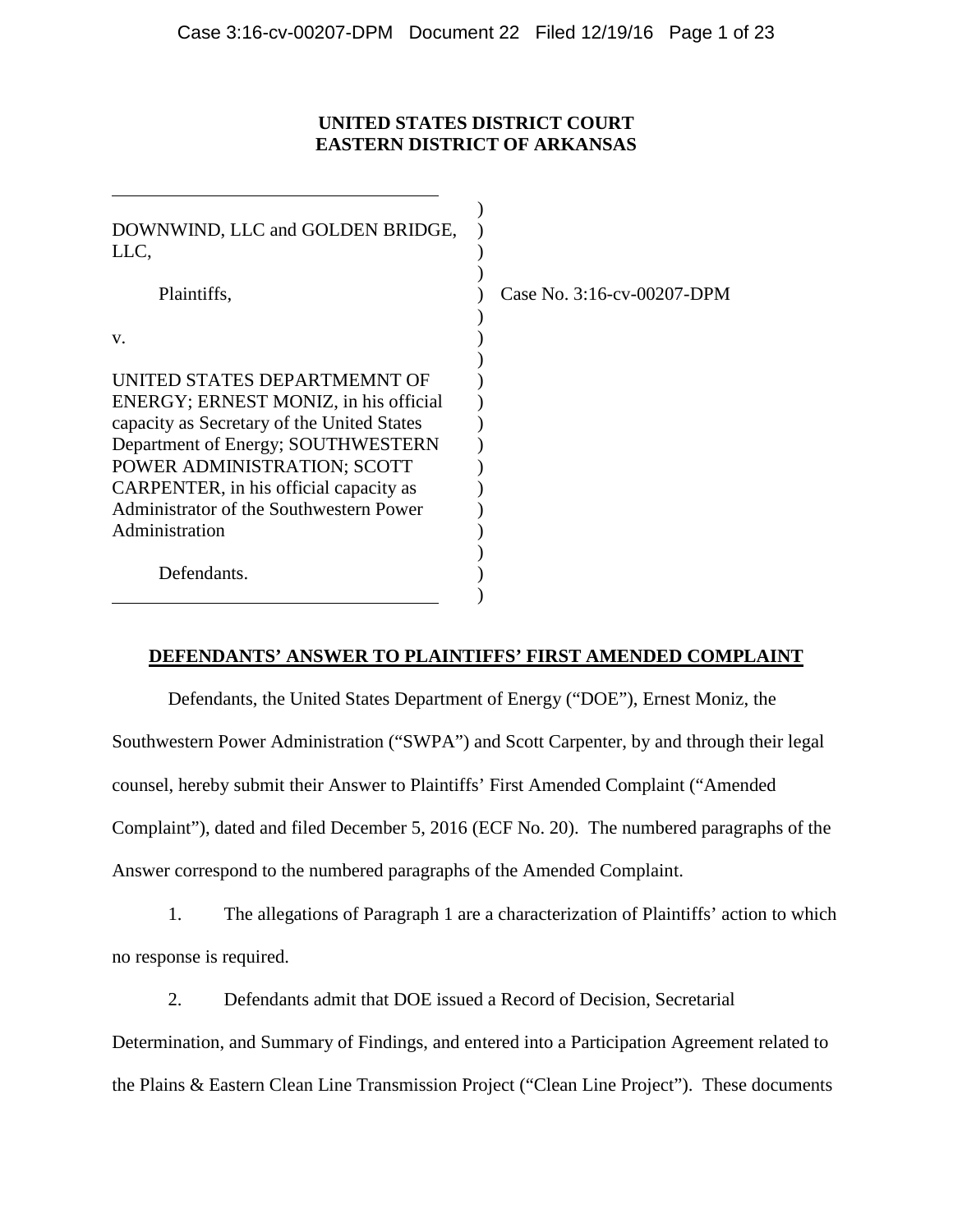## **UNITED STATES DISTRICT COURT EASTERN DISTRICT OF ARKANSAS**

| DOWNWIND, LLC and GOLDEN BRIDGE,<br>LLC,   |                            |
|--------------------------------------------|----------------------------|
| Plaintiffs,                                | Case No. 3:16-cv-00207-DPM |
|                                            |                            |
| V.                                         |                            |
|                                            |                            |
| UNITED STATES DEPARTMEMNT OF               |                            |
| ENERGY; ERNEST MONIZ, in his official      |                            |
| capacity as Secretary of the United States |                            |
| Department of Energy; SOUTHWESTERN         |                            |
| POWER ADMINISTRATION; SCOTT                |                            |
| CARPENTER, in his official capacity as     |                            |
| Administrator of the Southwestern Power    |                            |
| Administration                             |                            |
|                                            |                            |
| Defendants.                                |                            |
|                                            |                            |

## **DEFENDANTS' ANSWER TO PLAINTIFFS' FIRST AMENDED COMPLAINT**

Defendants, the United States Department of Energy ("DOE"), Ernest Moniz, the Southwestern Power Administration ("SWPA") and Scott Carpenter, by and through their legal counsel, hereby submit their Answer to Plaintiffs' First Amended Complaint ("Amended Complaint"), dated and filed December 5, 2016 (ECF No. 20). The numbered paragraphs of the Answer correspond to the numbered paragraphs of the Amended Complaint.

1. The allegations of Paragraph 1 are a characterization of Plaintiffs' action to which no response is required.

2. Defendants admit that DOE issued a Record of Decision, Secretarial

Determination, and Summary of Findings, and entered into a Participation Agreement related to

the Plains & Eastern Clean Line Transmission Project ("Clean Line Project"). These documents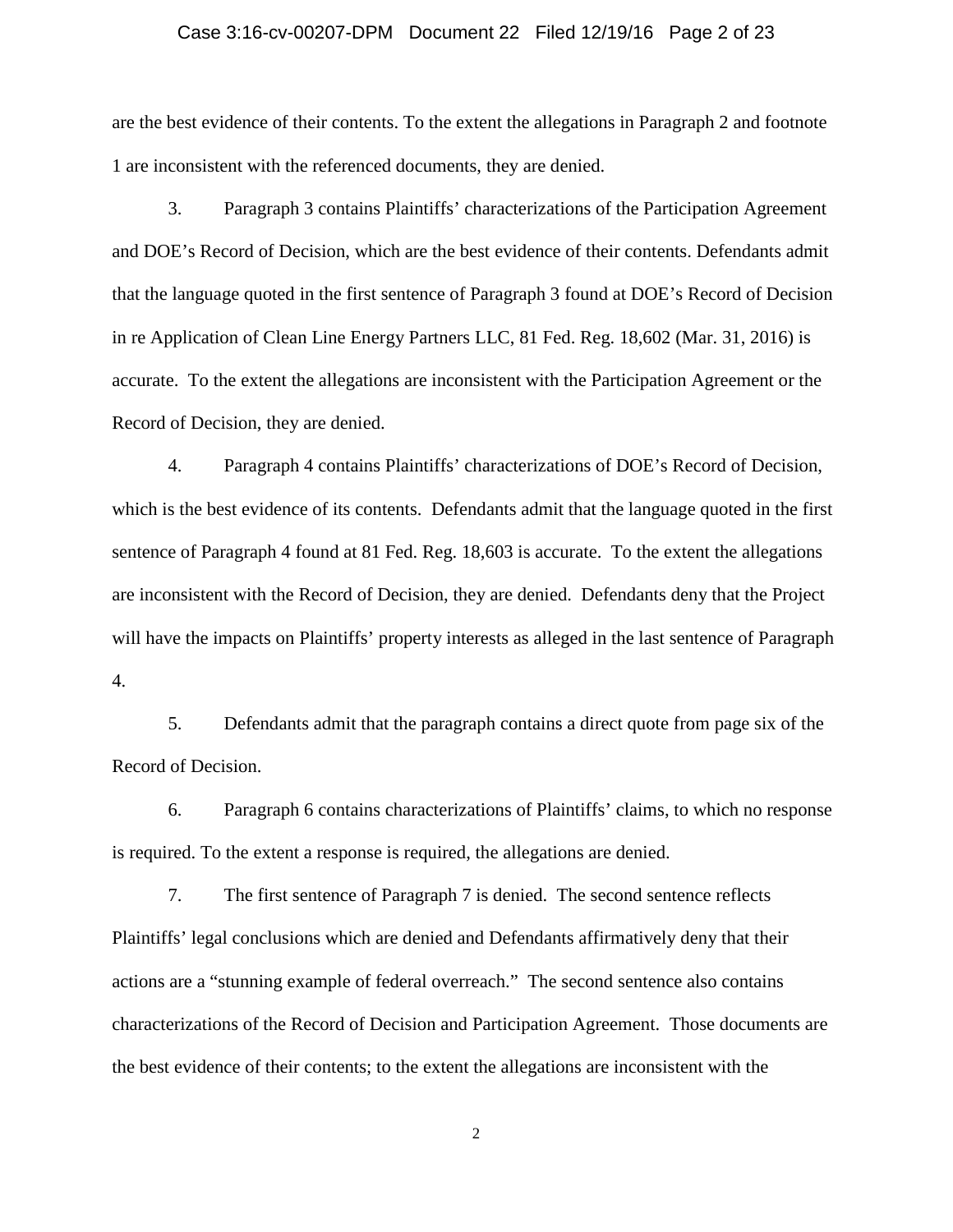### Case 3:16-cv-00207-DPM Document 22 Filed 12/19/16 Page 2 of 23

are the best evidence of their contents. To the extent the allegations in Paragraph 2 and footnote 1 are inconsistent with the referenced documents, they are denied.

3. Paragraph 3 contains Plaintiffs' characterizations of the Participation Agreement and DOE's Record of Decision, which are the best evidence of their contents. Defendants admit that the language quoted in the first sentence of Paragraph 3 found at DOE's Record of Decision in re Application of Clean Line Energy Partners LLC, 81 Fed. Reg. 18,602 (Mar. 31, 2016) is accurate. To the extent the allegations are inconsistent with the Participation Agreement or the Record of Decision, they are denied.

4. Paragraph 4 contains Plaintiffs' characterizations of DOE's Record of Decision, which is the best evidence of its contents. Defendants admit that the language quoted in the first sentence of Paragraph 4 found at 81 Fed. Reg. 18,603 is accurate. To the extent the allegations are inconsistent with the Record of Decision, they are denied. Defendants deny that the Project will have the impacts on Plaintiffs' property interests as alleged in the last sentence of Paragraph 4.

5. Defendants admit that the paragraph contains a direct quote from page six of the Record of Decision.

6. Paragraph 6 contains characterizations of Plaintiffs' claims, to which no response is required. To the extent a response is required, the allegations are denied.

7. The first sentence of Paragraph 7 is denied. The second sentence reflects Plaintiffs' legal conclusions which are denied and Defendants affirmatively deny that their actions are a "stunning example of federal overreach." The second sentence also contains characterizations of the Record of Decision and Participation Agreement. Those documents are the best evidence of their contents; to the extent the allegations are inconsistent with the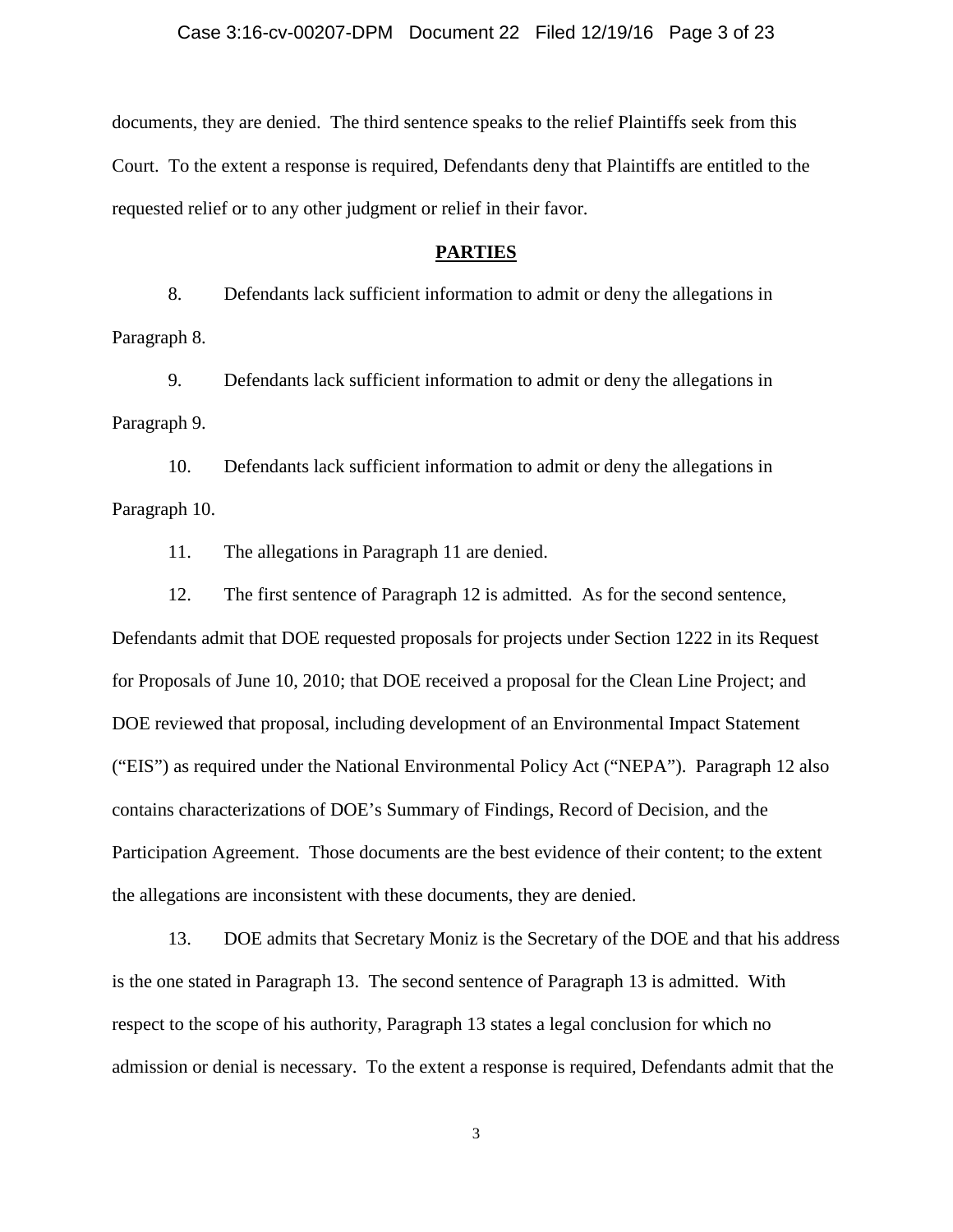#### Case 3:16-cv-00207-DPM Document 22 Filed 12/19/16 Page 3 of 23

documents, they are denied. The third sentence speaks to the relief Plaintiffs seek from this Court. To the extent a response is required, Defendants deny that Plaintiffs are entitled to the requested relief or to any other judgment or relief in their favor.

#### **PARTIES**

8. Defendants lack sufficient information to admit or deny the allegations in Paragraph 8.

9. Defendants lack sufficient information to admit or deny the allegations in Paragraph 9.

10. Defendants lack sufficient information to admit or deny the allegations in Paragraph 10.

11. The allegations in Paragraph 11 are denied.

12. The first sentence of Paragraph 12 is admitted. As for the second sentence, Defendants admit that DOE requested proposals for projects under Section 1222 in its Request for Proposals of June 10, 2010; that DOE received a proposal for the Clean Line Project; and DOE reviewed that proposal, including development of an Environmental Impact Statement ("EIS") as required under the National Environmental Policy Act ("NEPA"). Paragraph 12 also contains characterizations of DOE's Summary of Findings, Record of Decision, and the Participation Agreement. Those documents are the best evidence of their content; to the extent the allegations are inconsistent with these documents, they are denied.

13. DOE admits that Secretary Moniz is the Secretary of the DOE and that his address is the one stated in Paragraph 13. The second sentence of Paragraph 13 is admitted. With respect to the scope of his authority, Paragraph 13 states a legal conclusion for which no admission or denial is necessary. To the extent a response is required, Defendants admit that the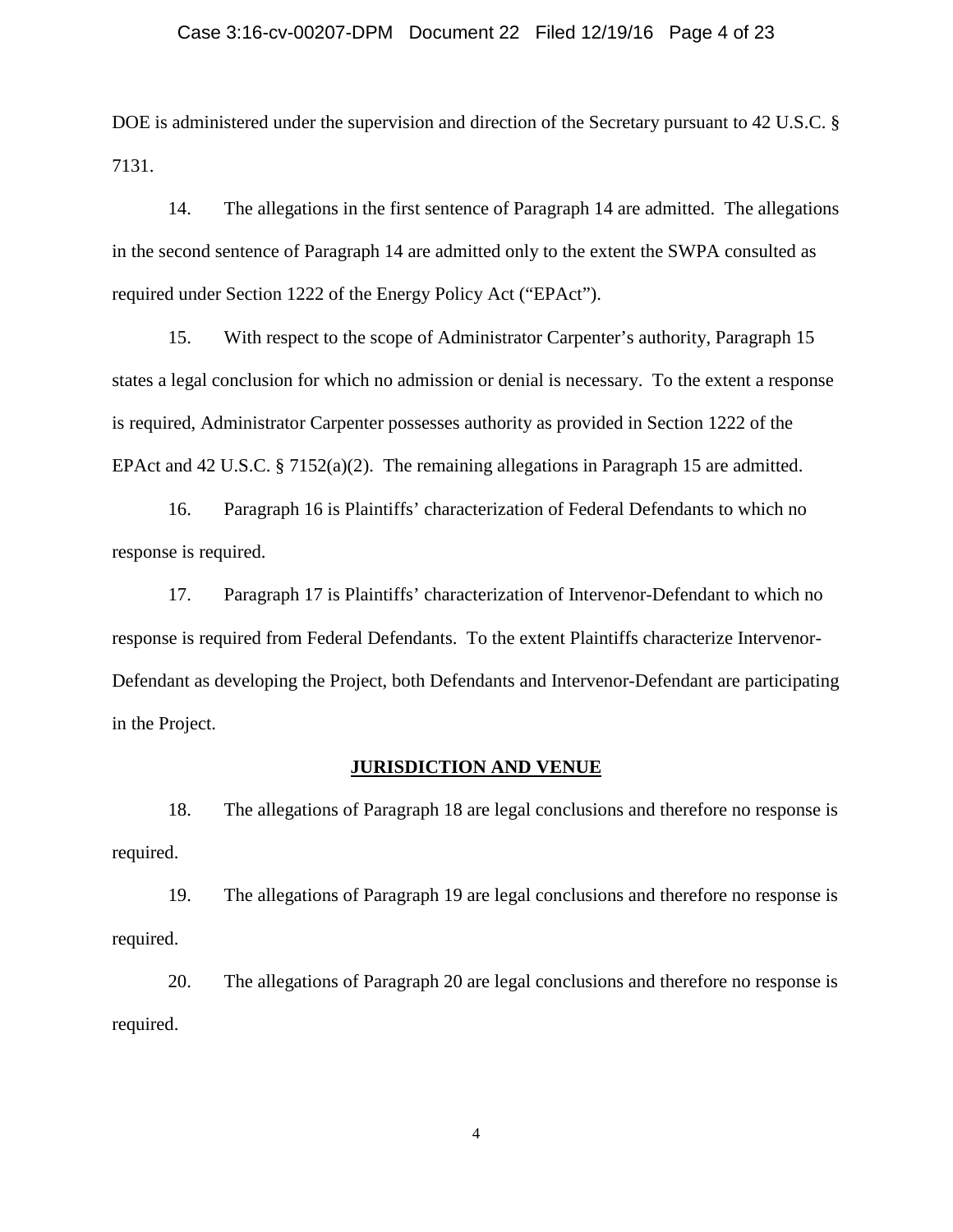### Case 3:16-cv-00207-DPM Document 22 Filed 12/19/16 Page 4 of 23

DOE is administered under the supervision and direction of the Secretary pursuant to 42 U.S.C. § 7131.

14. The allegations in the first sentence of Paragraph 14 are admitted. The allegations in the second sentence of Paragraph 14 are admitted only to the extent the SWPA consulted as required under Section 1222 of the Energy Policy Act ("EPAct").

15. With respect to the scope of Administrator Carpenter's authority, Paragraph 15 states a legal conclusion for which no admission or denial is necessary. To the extent a response is required, Administrator Carpenter possesses authority as provided in Section 1222 of the EPAct and 42 U.S.C. § 7152(a)(2). The remaining allegations in Paragraph 15 are admitted.

16. Paragraph 16 is Plaintiffs' characterization of Federal Defendants to which no response is required.

17. Paragraph 17 is Plaintiffs' characterization of Intervenor-Defendant to which no response is required from Federal Defendants. To the extent Plaintiffs characterize Intervenor-Defendant as developing the Project, both Defendants and Intervenor-Defendant are participating in the Project.

#### **JURISDICTION AND VENUE**

18. The allegations of Paragraph 18 are legal conclusions and therefore no response is required.

19. The allegations of Paragraph 19 are legal conclusions and therefore no response is required.

20. The allegations of Paragraph 20 are legal conclusions and therefore no response is required.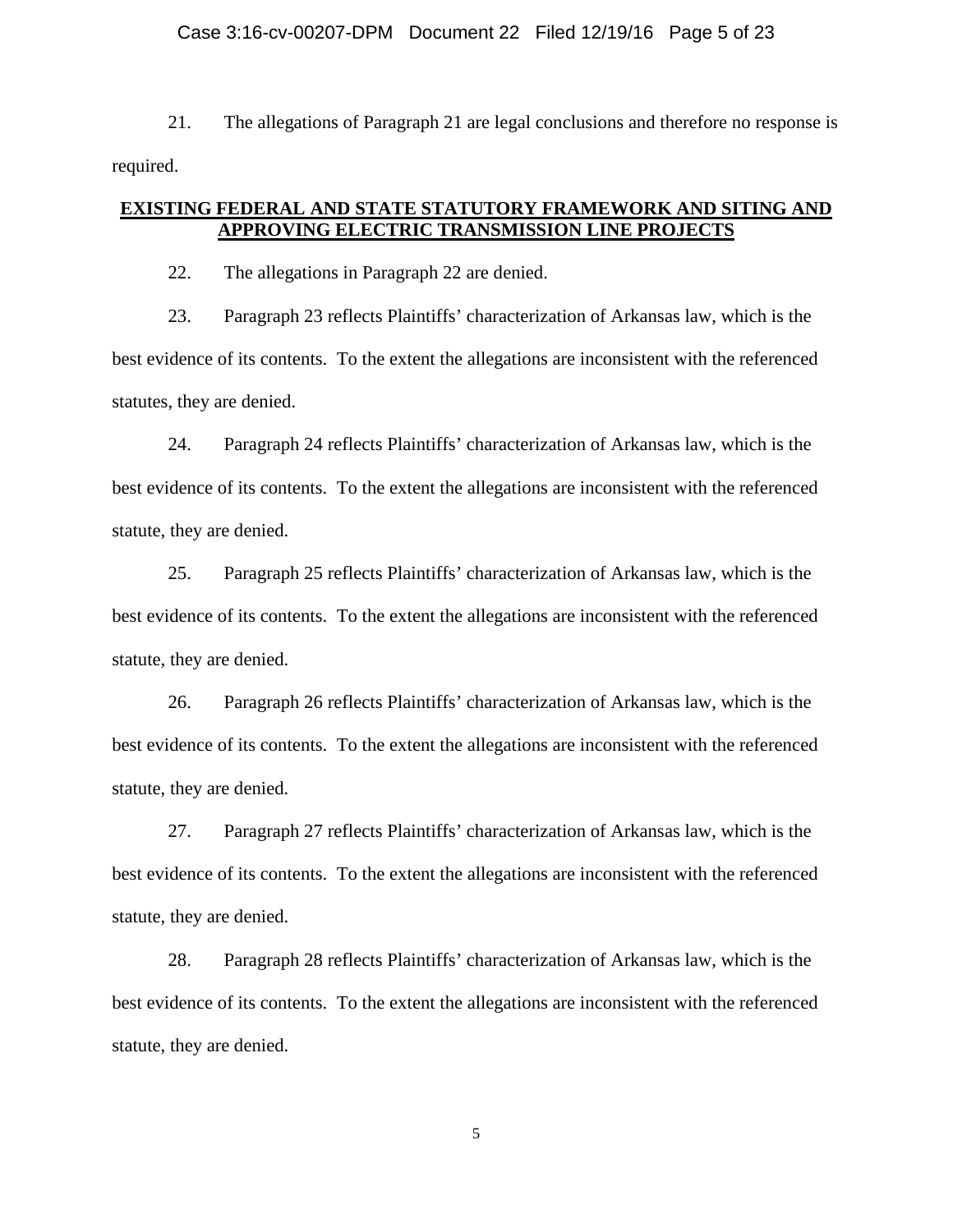### Case 3:16-cv-00207-DPM Document 22 Filed 12/19/16 Page 5 of 23

21. The allegations of Paragraph 21 are legal conclusions and therefore no response is required.

## **EXISTING FEDERAL AND STATE STATUTORY FRAMEWORK AND SITING AND APPROVING ELECTRIC TRANSMISSION LINE PROJECTS**

22. The allegations in Paragraph 22 are denied.

23. Paragraph 23 reflects Plaintiffs' characterization of Arkansas law, which is the best evidence of its contents. To the extent the allegations are inconsistent with the referenced statutes, they are denied.

24. Paragraph 24 reflects Plaintiffs' characterization of Arkansas law, which is the best evidence of its contents. To the extent the allegations are inconsistent with the referenced statute, they are denied.

25. Paragraph 25 reflects Plaintiffs' characterization of Arkansas law, which is the best evidence of its contents. To the extent the allegations are inconsistent with the referenced statute, they are denied.

26. Paragraph 26 reflects Plaintiffs' characterization of Arkansas law, which is the best evidence of its contents. To the extent the allegations are inconsistent with the referenced statute, they are denied.

27. Paragraph 27 reflects Plaintiffs' characterization of Arkansas law, which is the best evidence of its contents. To the extent the allegations are inconsistent with the referenced statute, they are denied.

28. Paragraph 28 reflects Plaintiffs' characterization of Arkansas law, which is the best evidence of its contents. To the extent the allegations are inconsistent with the referenced statute, they are denied.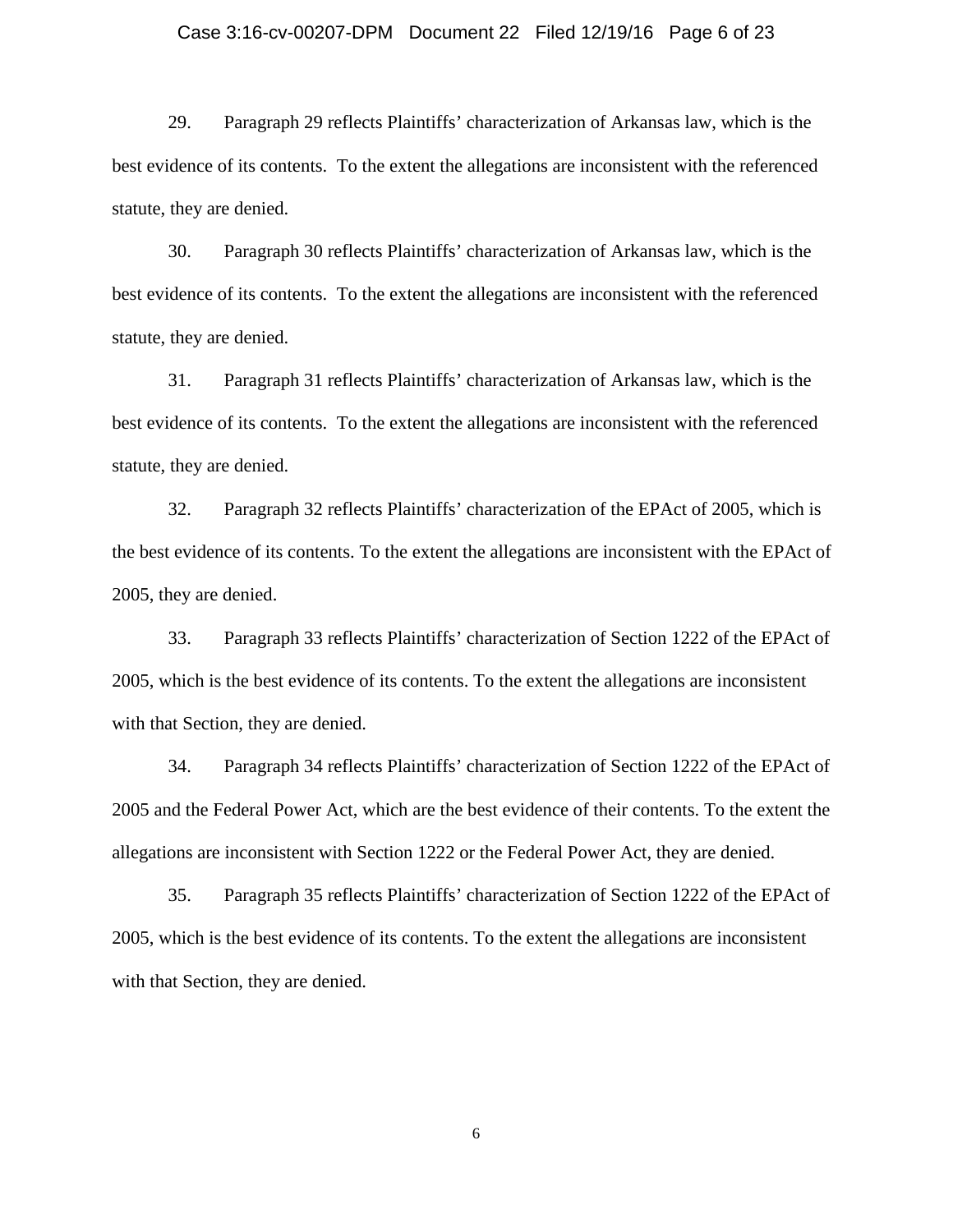### Case 3:16-cv-00207-DPM Document 22 Filed 12/19/16 Page 6 of 23

29. Paragraph 29 reflects Plaintiffs' characterization of Arkansas law, which is the best evidence of its contents. To the extent the allegations are inconsistent with the referenced statute, they are denied.

30. Paragraph 30 reflects Plaintiffs' characterization of Arkansas law, which is the best evidence of its contents. To the extent the allegations are inconsistent with the referenced statute, they are denied.

31. Paragraph 31 reflects Plaintiffs' characterization of Arkansas law, which is the best evidence of its contents. To the extent the allegations are inconsistent with the referenced statute, they are denied.

32. Paragraph 32 reflects Plaintiffs' characterization of the EPAct of 2005, which is the best evidence of its contents. To the extent the allegations are inconsistent with the EPAct of 2005, they are denied.

33. Paragraph 33 reflects Plaintiffs' characterization of Section 1222 of the EPAct of 2005, which is the best evidence of its contents. To the extent the allegations are inconsistent with that Section, they are denied.

34. Paragraph 34 reflects Plaintiffs' characterization of Section 1222 of the EPAct of 2005 and the Federal Power Act, which are the best evidence of their contents. To the extent the allegations are inconsistent with Section 1222 or the Federal Power Act, they are denied.

35. Paragraph 35 reflects Plaintiffs' characterization of Section 1222 of the EPAct of 2005, which is the best evidence of its contents. To the extent the allegations are inconsistent with that Section, they are denied.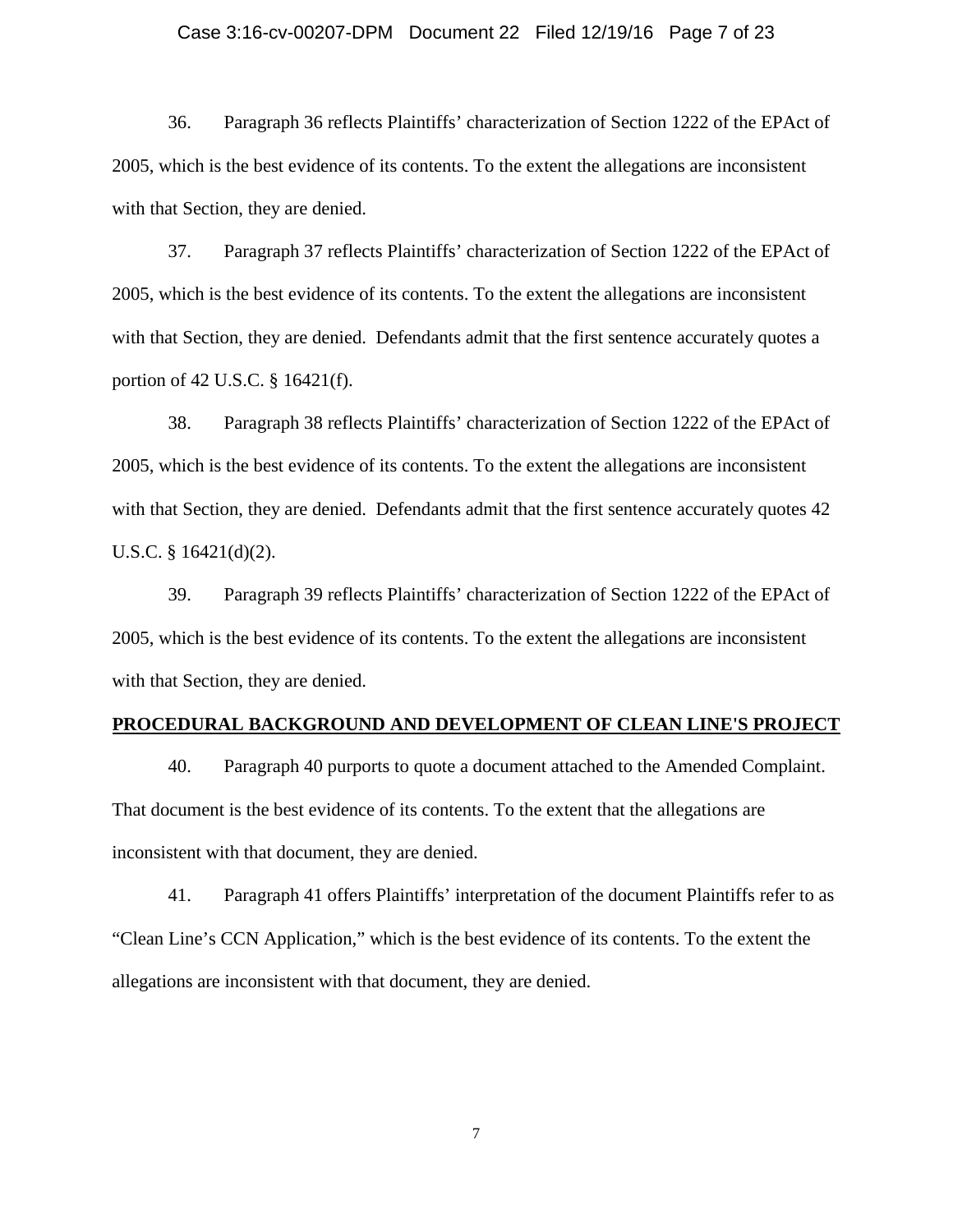### Case 3:16-cv-00207-DPM Document 22 Filed 12/19/16 Page 7 of 23

36. Paragraph 36 reflects Plaintiffs' characterization of Section 1222 of the EPAct of 2005, which is the best evidence of its contents. To the extent the allegations are inconsistent with that Section, they are denied.

37. Paragraph 37 reflects Plaintiffs' characterization of Section 1222 of the EPAct of 2005, which is the best evidence of its contents. To the extent the allegations are inconsistent with that Section, they are denied. Defendants admit that the first sentence accurately quotes a portion of 42 U.S.C. § 16421(f).

38. Paragraph 38 reflects Plaintiffs' characterization of Section 1222 of the EPAct of 2005, which is the best evidence of its contents. To the extent the allegations are inconsistent with that Section, they are denied. Defendants admit that the first sentence accurately quotes 42 U.S.C. § 16421(d)(2).

39. Paragraph 39 reflects Plaintiffs' characterization of Section 1222 of the EPAct of 2005, which is the best evidence of its contents. To the extent the allegations are inconsistent with that Section, they are denied.

### **PROCEDURAL BACKGROUND AND DEVELOPMENT OF CLEAN LINE'S PROJECT**

40. Paragraph 40 purports to quote a document attached to the Amended Complaint. That document is the best evidence of its contents. To the extent that the allegations are inconsistent with that document, they are denied.

41. Paragraph 41 offers Plaintiffs' interpretation of the document Plaintiffs refer to as "Clean Line's CCN Application," which is the best evidence of its contents. To the extent the allegations are inconsistent with that document, they are denied.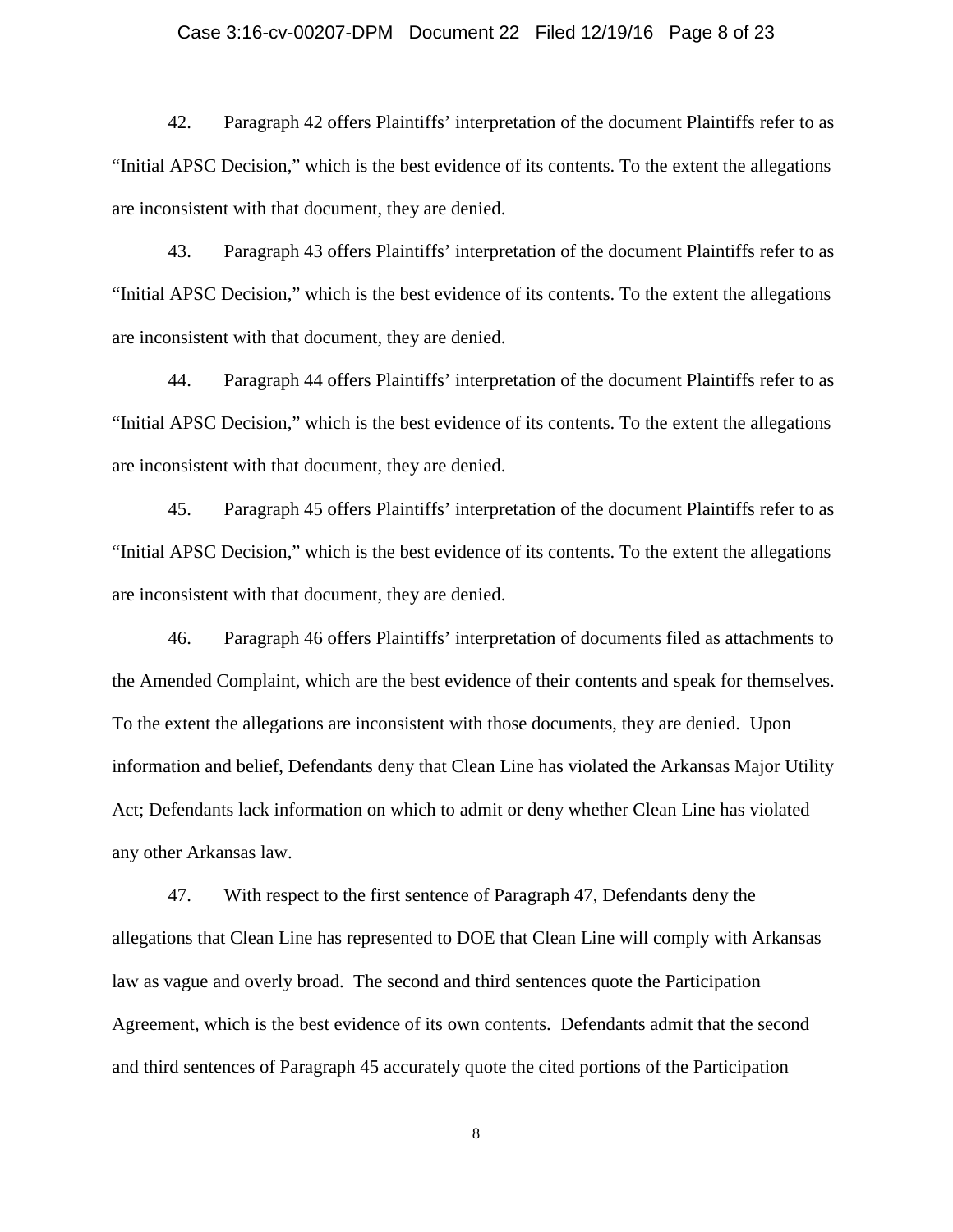### Case 3:16-cv-00207-DPM Document 22 Filed 12/19/16 Page 8 of 23

42. Paragraph 42 offers Plaintiffs' interpretation of the document Plaintiffs refer to as "Initial APSC Decision," which is the best evidence of its contents. To the extent the allegations are inconsistent with that document, they are denied.

43. Paragraph 43 offers Plaintiffs' interpretation of the document Plaintiffs refer to as "Initial APSC Decision," which is the best evidence of its contents. To the extent the allegations are inconsistent with that document, they are denied.

44. Paragraph 44 offers Plaintiffs' interpretation of the document Plaintiffs refer to as "Initial APSC Decision," which is the best evidence of its contents. To the extent the allegations are inconsistent with that document, they are denied.

45. Paragraph 45 offers Plaintiffs' interpretation of the document Plaintiffs refer to as "Initial APSC Decision," which is the best evidence of its contents. To the extent the allegations are inconsistent with that document, they are denied.

46. Paragraph 46 offers Plaintiffs' interpretation of documents filed as attachments to the Amended Complaint, which are the best evidence of their contents and speak for themselves. To the extent the allegations are inconsistent with those documents, they are denied. Upon information and belief, Defendants deny that Clean Line has violated the Arkansas Major Utility Act; Defendants lack information on which to admit or deny whether Clean Line has violated any other Arkansas law.

47. With respect to the first sentence of Paragraph 47, Defendants deny the allegations that Clean Line has represented to DOE that Clean Line will comply with Arkansas law as vague and overly broad. The second and third sentences quote the Participation Agreement, which is the best evidence of its own contents. Defendants admit that the second and third sentences of Paragraph 45 accurately quote the cited portions of the Participation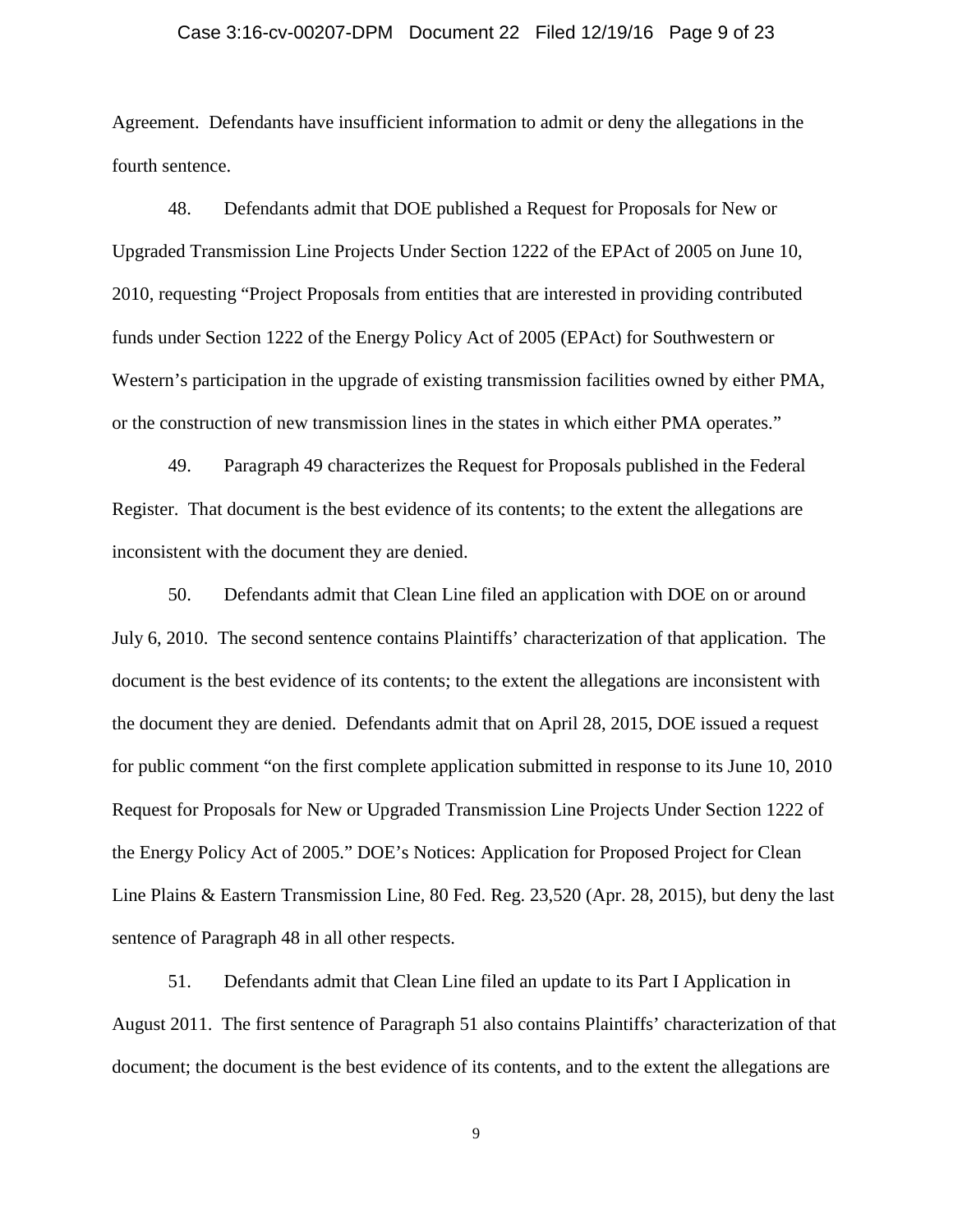### Case 3:16-cv-00207-DPM Document 22 Filed 12/19/16 Page 9 of 23

Agreement. Defendants have insufficient information to admit or deny the allegations in the fourth sentence.

48. Defendants admit that DOE published a Request for Proposals for New or Upgraded Transmission Line Projects Under Section 1222 of the EPAct of 2005 on June 10, 2010, requesting "Project Proposals from entities that are interested in providing contributed funds under Section 1222 of the Energy Policy Act of 2005 (EPAct) for Southwestern or Western's participation in the upgrade of existing transmission facilities owned by either PMA, or the construction of new transmission lines in the states in which either PMA operates."

49. Paragraph 49 characterizes the Request for Proposals published in the Federal Register. That document is the best evidence of its contents; to the extent the allegations are inconsistent with the document they are denied.

50. Defendants admit that Clean Line filed an application with DOE on or around July 6, 2010. The second sentence contains Plaintiffs' characterization of that application. The document is the best evidence of its contents; to the extent the allegations are inconsistent with the document they are denied. Defendants admit that on April 28, 2015, DOE issued a request for public comment "on the first complete application submitted in response to its June 10, 2010 Request for Proposals for New or Upgraded Transmission Line Projects Under Section 1222 of the Energy Policy Act of 2005." DOE's Notices: Application for Proposed Project for Clean Line Plains & Eastern Transmission Line, 80 Fed. Reg. 23,520 (Apr. 28, 2015), but deny the last sentence of Paragraph 48 in all other respects.

51. Defendants admit that Clean Line filed an update to its Part I Application in August 2011. The first sentence of Paragraph 51 also contains Plaintiffs' characterization of that document; the document is the best evidence of its contents, and to the extent the allegations are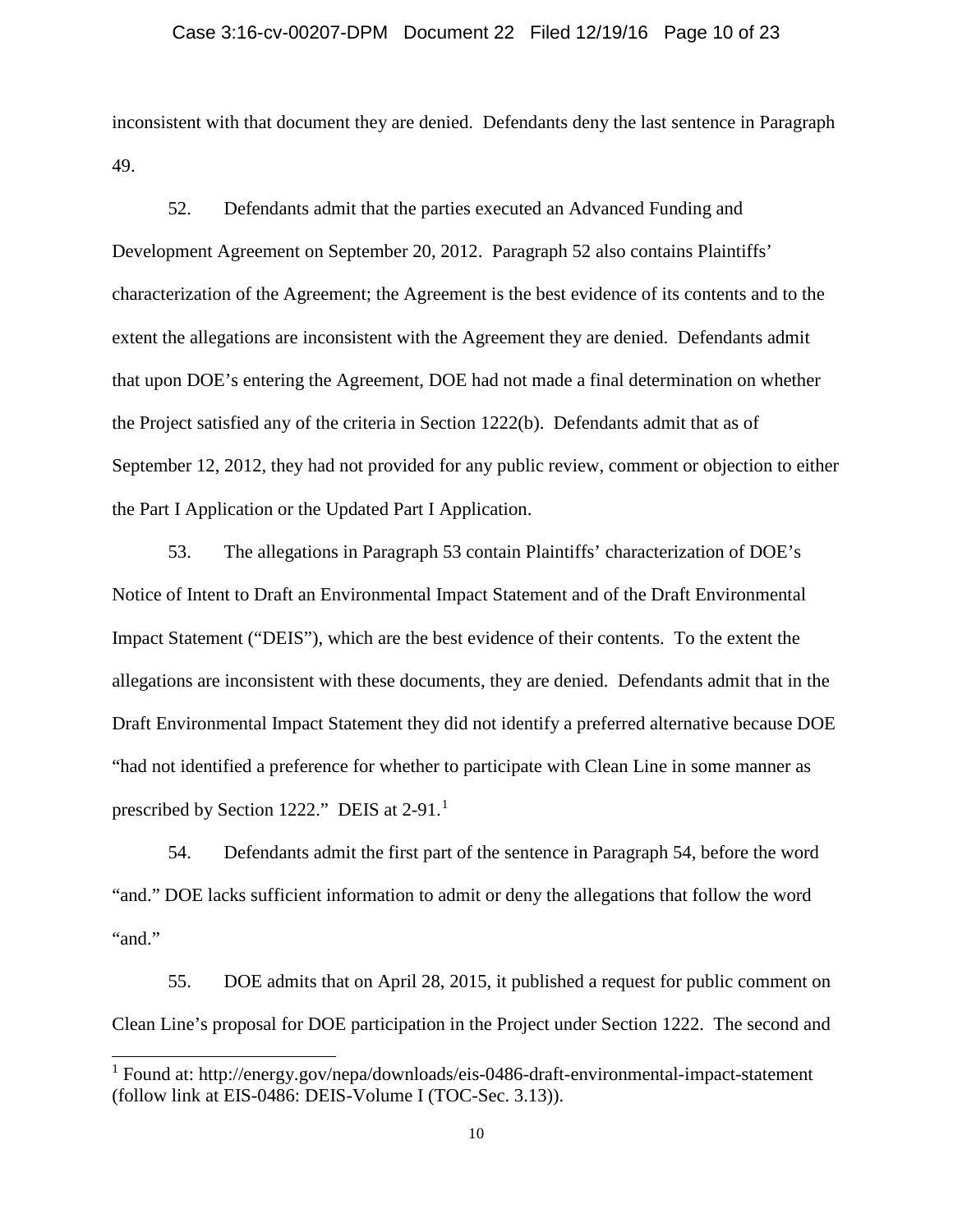### Case 3:16-cv-00207-DPM Document 22 Filed 12/19/16 Page 10 of 23

inconsistent with that document they are denied. Defendants deny the last sentence in Paragraph 49.

52. Defendants admit that the parties executed an Advanced Funding and Development Agreement on September 20, 2012. Paragraph 52 also contains Plaintiffs' characterization of the Agreement; the Agreement is the best evidence of its contents and to the extent the allegations are inconsistent with the Agreement they are denied. Defendants admit that upon DOE's entering the Agreement, DOE had not made a final determination on whether the Project satisfied any of the criteria in Section 1222(b). Defendants admit that as of September 12, 2012, they had not provided for any public review, comment or objection to either the Part I Application or the Updated Part I Application.

53. The allegations in Paragraph 53 contain Plaintiffs' characterization of DOE's Notice of Intent to Draft an Environmental Impact Statement and of the Draft Environmental Impact Statement ("DEIS"), which are the best evidence of their contents. To the extent the allegations are inconsistent with these documents, they are denied. Defendants admit that in the Draft Environmental Impact Statement they did not identify a preferred alternative because DOE "had not identified a preference for whether to participate with Clean Line in some manner as prescribed by Section [1](#page-9-0)222." DEIS at 2-91.<sup>1</sup>

54. Defendants admit the first part of the sentence in Paragraph 54, before the word "and." DOE lacks sufficient information to admit or deny the allegations that follow the word "and."

55. DOE admits that on April 28, 2015, it published a request for public comment on Clean Line's proposal for DOE participation in the Project under Section 1222. The second and

<span id="page-9-0"></span> <sup>1</sup> Found at: http://energy.gov/nepa/downloads/eis-0486-draft-environmental-impact-statement (follow link at EIS-0486: DEIS-Volume I (TOC-Sec. 3.13)).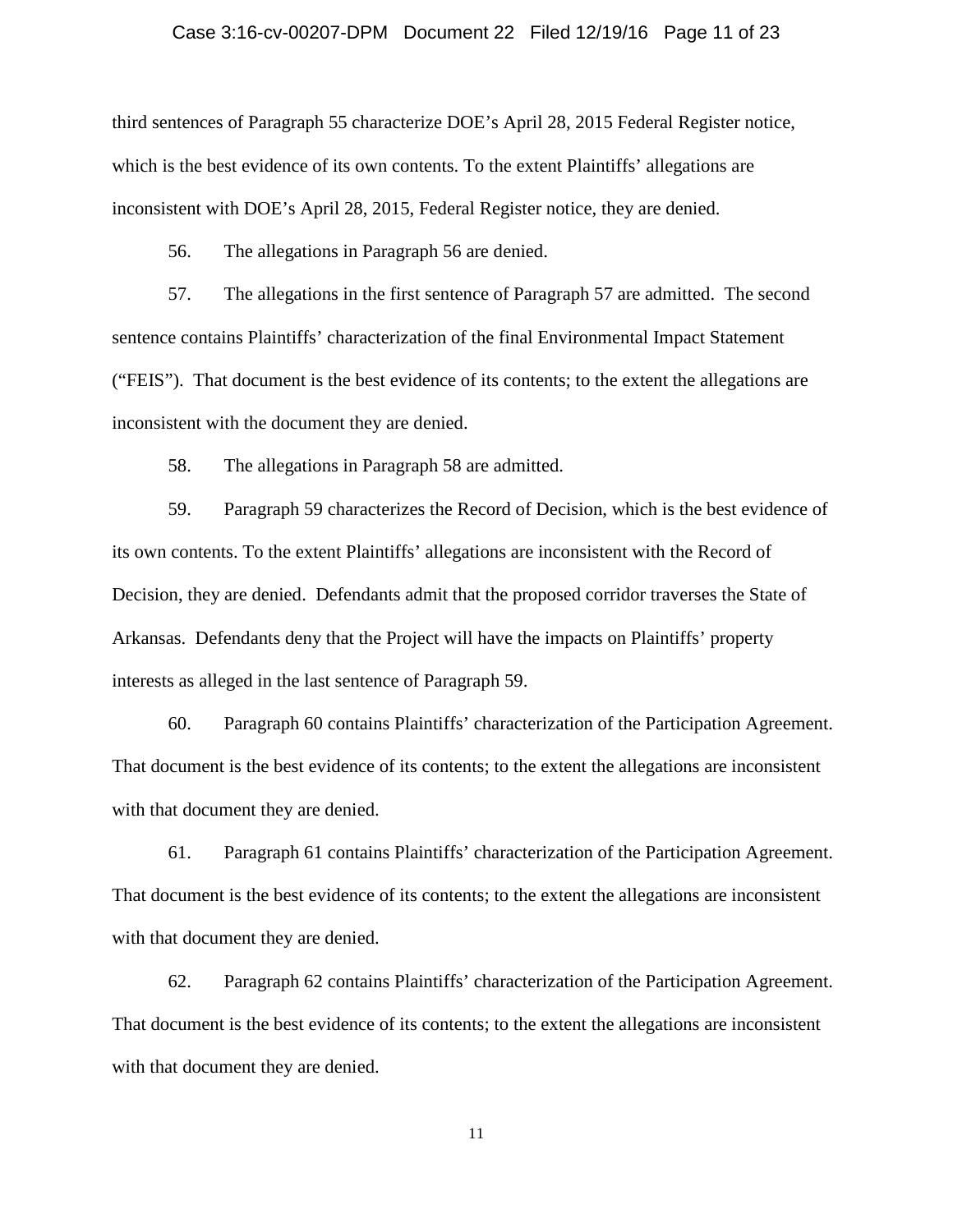### Case 3:16-cv-00207-DPM Document 22 Filed 12/19/16 Page 11 of 23

third sentences of Paragraph 55 characterize DOE's April 28, 2015 Federal Register notice, which is the best evidence of its own contents. To the extent Plaintiffs' allegations are inconsistent with DOE's April 28, 2015, Federal Register notice, they are denied.

56. The allegations in Paragraph 56 are denied.

57. The allegations in the first sentence of Paragraph 57 are admitted. The second sentence contains Plaintiffs' characterization of the final Environmental Impact Statement ("FEIS"). That document is the best evidence of its contents; to the extent the allegations are inconsistent with the document they are denied.

58. The allegations in Paragraph 58 are admitted.

59. Paragraph 59 characterizes the Record of Decision, which is the best evidence of its own contents. To the extent Plaintiffs' allegations are inconsistent with the Record of Decision, they are denied. Defendants admit that the proposed corridor traverses the State of Arkansas. Defendants deny that the Project will have the impacts on Plaintiffs' property interests as alleged in the last sentence of Paragraph 59.

60. Paragraph 60 contains Plaintiffs' characterization of the Participation Agreement. That document is the best evidence of its contents; to the extent the allegations are inconsistent with that document they are denied.

61. Paragraph 61 contains Plaintiffs' characterization of the Participation Agreement. That document is the best evidence of its contents; to the extent the allegations are inconsistent with that document they are denied.

62. Paragraph 62 contains Plaintiffs' characterization of the Participation Agreement. That document is the best evidence of its contents; to the extent the allegations are inconsistent with that document they are denied.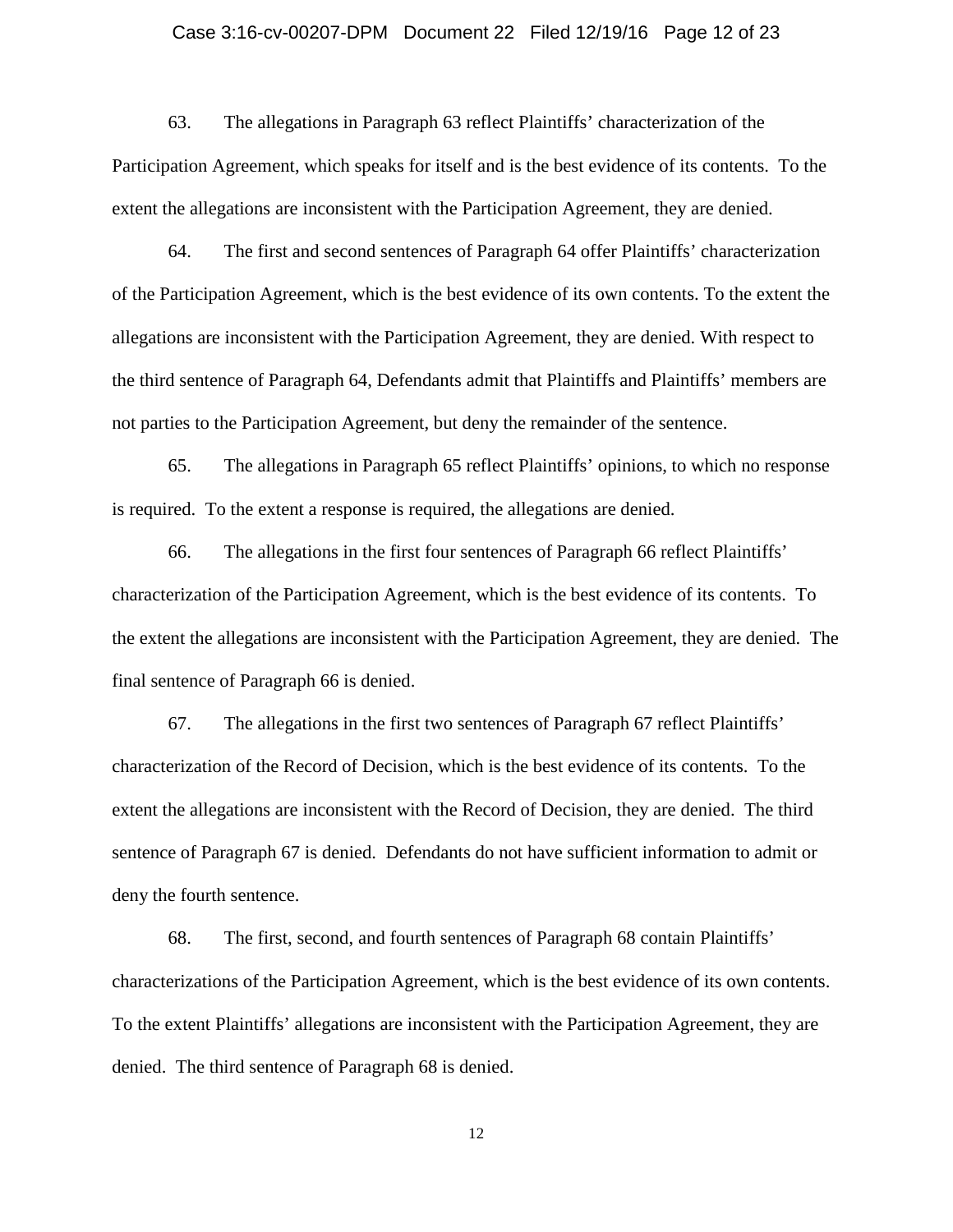### Case 3:16-cv-00207-DPM Document 22 Filed 12/19/16 Page 12 of 23

63. The allegations in Paragraph 63 reflect Plaintiffs' characterization of the Participation Agreement, which speaks for itself and is the best evidence of its contents. To the extent the allegations are inconsistent with the Participation Agreement, they are denied.

64. The first and second sentences of Paragraph 64 offer Plaintiffs' characterization of the Participation Agreement, which is the best evidence of its own contents. To the extent the allegations are inconsistent with the Participation Agreement, they are denied. With respect to the third sentence of Paragraph 64, Defendants admit that Plaintiffs and Plaintiffs' members are not parties to the Participation Agreement, but deny the remainder of the sentence.

65. The allegations in Paragraph 65 reflect Plaintiffs' opinions, to which no response is required. To the extent a response is required, the allegations are denied.

66. The allegations in the first four sentences of Paragraph 66 reflect Plaintiffs' characterization of the Participation Agreement, which is the best evidence of its contents. To the extent the allegations are inconsistent with the Participation Agreement, they are denied. The final sentence of Paragraph 66 is denied.

67. The allegations in the first two sentences of Paragraph 67 reflect Plaintiffs' characterization of the Record of Decision, which is the best evidence of its contents. To the extent the allegations are inconsistent with the Record of Decision, they are denied. The third sentence of Paragraph 67 is denied. Defendants do not have sufficient information to admit or deny the fourth sentence.

68. The first, second, and fourth sentences of Paragraph 68 contain Plaintiffs' characterizations of the Participation Agreement, which is the best evidence of its own contents. To the extent Plaintiffs' allegations are inconsistent with the Participation Agreement, they are denied. The third sentence of Paragraph 68 is denied.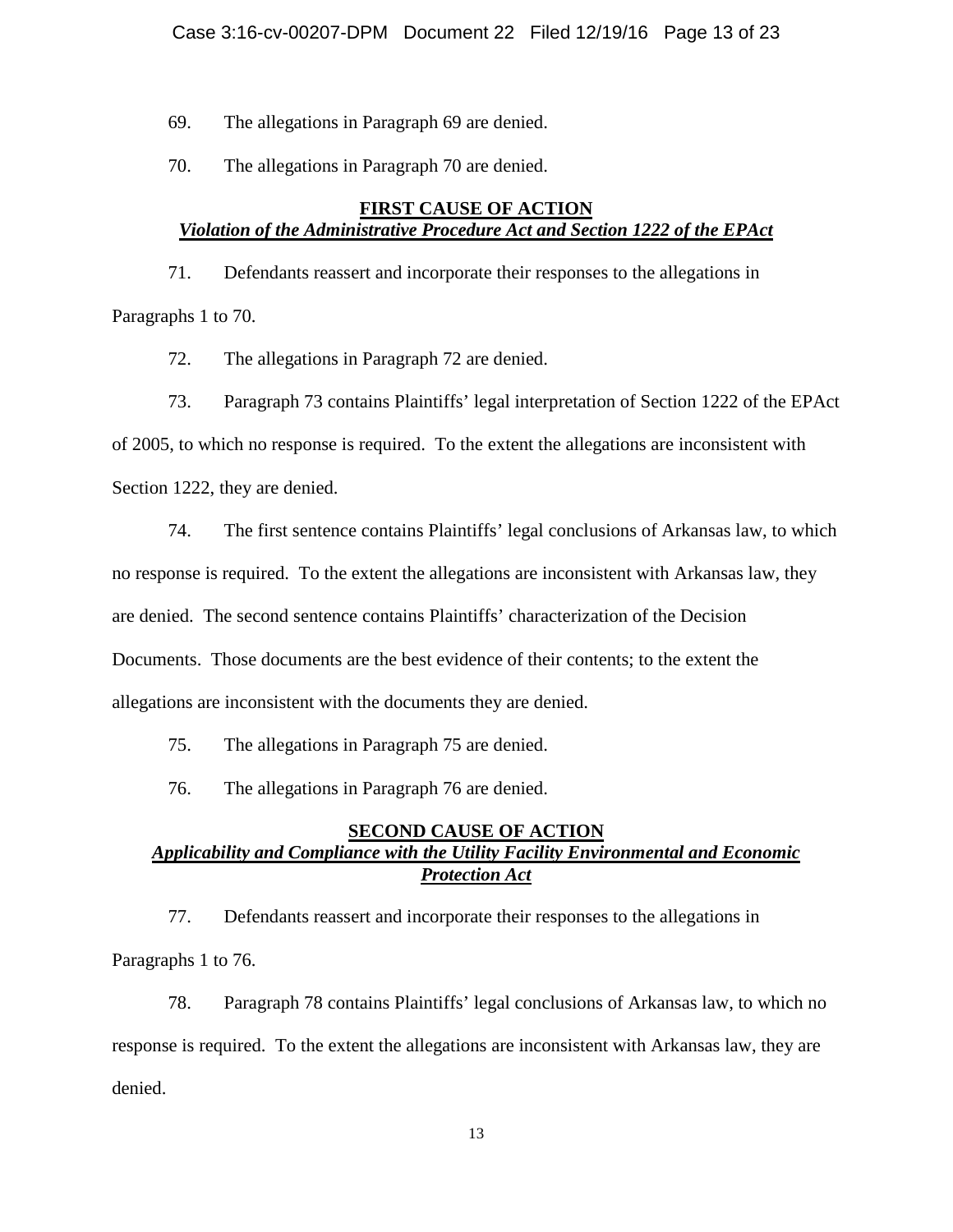69. The allegations in Paragraph 69 are denied.

70. The allegations in Paragraph 70 are denied.

## **FIRST CAUSE OF ACTION** *Violation of the Administrative Procedure Act and Section 1222 of the EPAct*

71. Defendants reassert and incorporate their responses to the allegations in Paragraphs 1 to 70.

72. The allegations in Paragraph 72 are denied.

73. Paragraph 73 contains Plaintiffs' legal interpretation of Section 1222 of the EPAct

of 2005, to which no response is required. To the extent the allegations are inconsistent with

Section 1222, they are denied.

74. The first sentence contains Plaintiffs' legal conclusions of Arkansas law, to which

no response is required. To the extent the allegations are inconsistent with Arkansas law, they

are denied. The second sentence contains Plaintiffs' characterization of the Decision

Documents. Those documents are the best evidence of their contents; to the extent the

allegations are inconsistent with the documents they are denied.

75. The allegations in Paragraph 75 are denied.

76. The allegations in Paragraph 76 are denied.

# **SECOND CAUSE OF ACTION** *Applicability and Compliance with the Utility Facility Environmental and Economic Protection Act*

77. Defendants reassert and incorporate their responses to the allegations in Paragraphs 1 to 76.

78. Paragraph 78 contains Plaintiffs' legal conclusions of Arkansas law, to which no response is required. To the extent the allegations are inconsistent with Arkansas law, they are denied.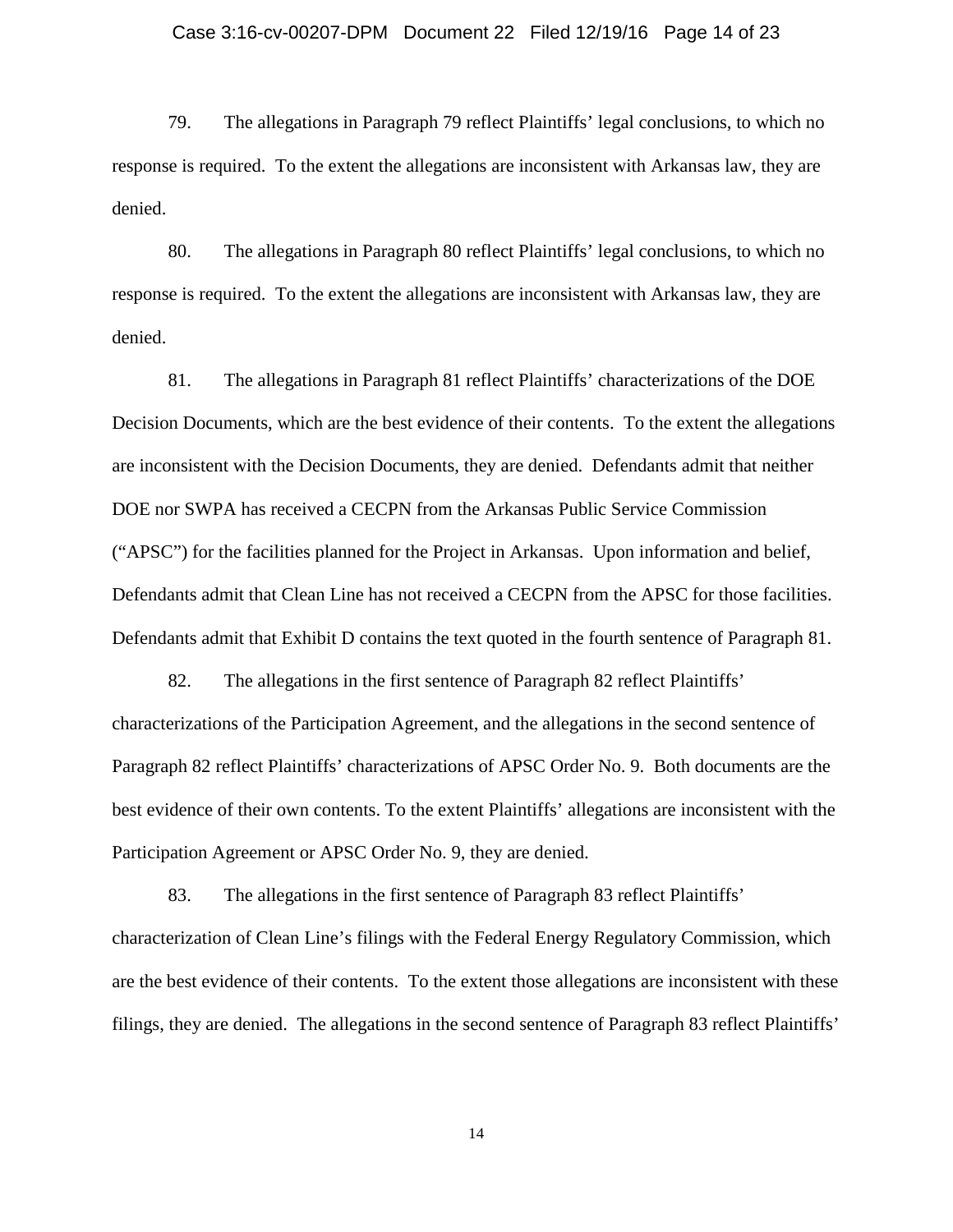### Case 3:16-cv-00207-DPM Document 22 Filed 12/19/16 Page 14 of 23

79. The allegations in Paragraph 79 reflect Plaintiffs' legal conclusions, to which no response is required. To the extent the allegations are inconsistent with Arkansas law, they are denied.

80. The allegations in Paragraph 80 reflect Plaintiffs' legal conclusions, to which no response is required. To the extent the allegations are inconsistent with Arkansas law, they are denied.

81. The allegations in Paragraph 81 reflect Plaintiffs' characterizations of the DOE Decision Documents, which are the best evidence of their contents. To the extent the allegations are inconsistent with the Decision Documents, they are denied. Defendants admit that neither DOE nor SWPA has received a CECPN from the Arkansas Public Service Commission ("APSC") for the facilities planned for the Project in Arkansas. Upon information and belief, Defendants admit that Clean Line has not received a CECPN from the APSC for those facilities. Defendants admit that Exhibit D contains the text quoted in the fourth sentence of Paragraph 81.

82. The allegations in the first sentence of Paragraph 82 reflect Plaintiffs' characterizations of the Participation Agreement, and the allegations in the second sentence of Paragraph 82 reflect Plaintiffs' characterizations of APSC Order No. 9. Both documents are the best evidence of their own contents. To the extent Plaintiffs' allegations are inconsistent with the Participation Agreement or APSC Order No. 9, they are denied.

83. The allegations in the first sentence of Paragraph 83 reflect Plaintiffs' characterization of Clean Line's filings with the Federal Energy Regulatory Commission, which are the best evidence of their contents. To the extent those allegations are inconsistent with these filings, they are denied. The allegations in the second sentence of Paragraph 83 reflect Plaintiffs'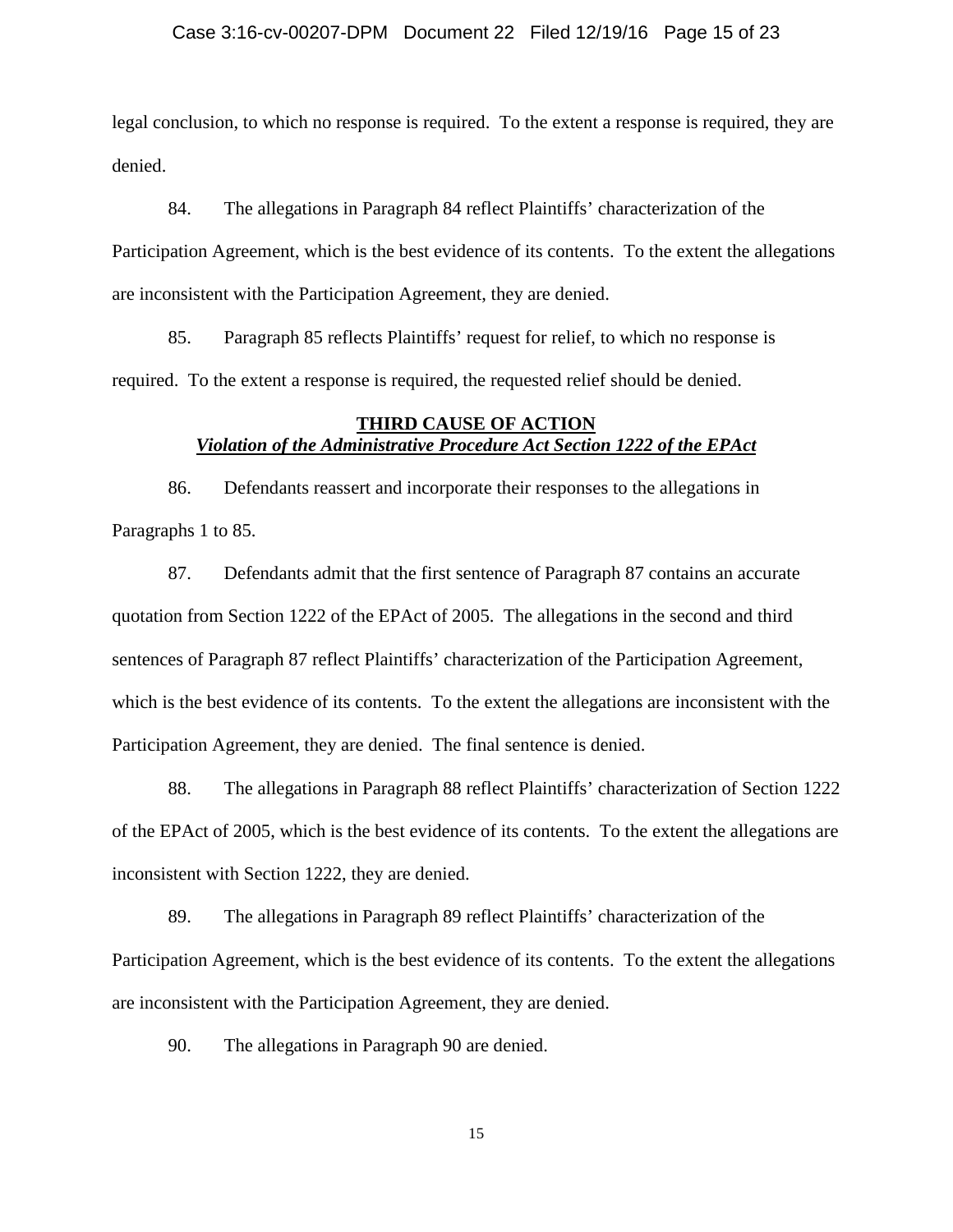### Case 3:16-cv-00207-DPM Document 22 Filed 12/19/16 Page 15 of 23

legal conclusion, to which no response is required. To the extent a response is required, they are denied.

84. The allegations in Paragraph 84 reflect Plaintiffs' characterization of the Participation Agreement, which is the best evidence of its contents. To the extent the allegations are inconsistent with the Participation Agreement, they are denied.

85. Paragraph 85 reflects Plaintiffs' request for relief, to which no response is required. To the extent a response is required, the requested relief should be denied.

## **THIRD CAUSE OF ACTION** *Violation of the Administrative Procedure Act Section 1222 of the EPAct*

86. Defendants reassert and incorporate their responses to the allegations in Paragraphs 1 to 85.

87. Defendants admit that the first sentence of Paragraph 87 contains an accurate quotation from Section 1222 of the EPAct of 2005. The allegations in the second and third sentences of Paragraph 87 reflect Plaintiffs' characterization of the Participation Agreement, which is the best evidence of its contents. To the extent the allegations are inconsistent with the Participation Agreement, they are denied. The final sentence is denied.

88. The allegations in Paragraph 88 reflect Plaintiffs' characterization of Section 1222 of the EPAct of 2005, which is the best evidence of its contents. To the extent the allegations are inconsistent with Section 1222, they are denied.

89. The allegations in Paragraph 89 reflect Plaintiffs' characterization of the Participation Agreement, which is the best evidence of its contents. To the extent the allegations are inconsistent with the Participation Agreement, they are denied.

90. The allegations in Paragraph 90 are denied.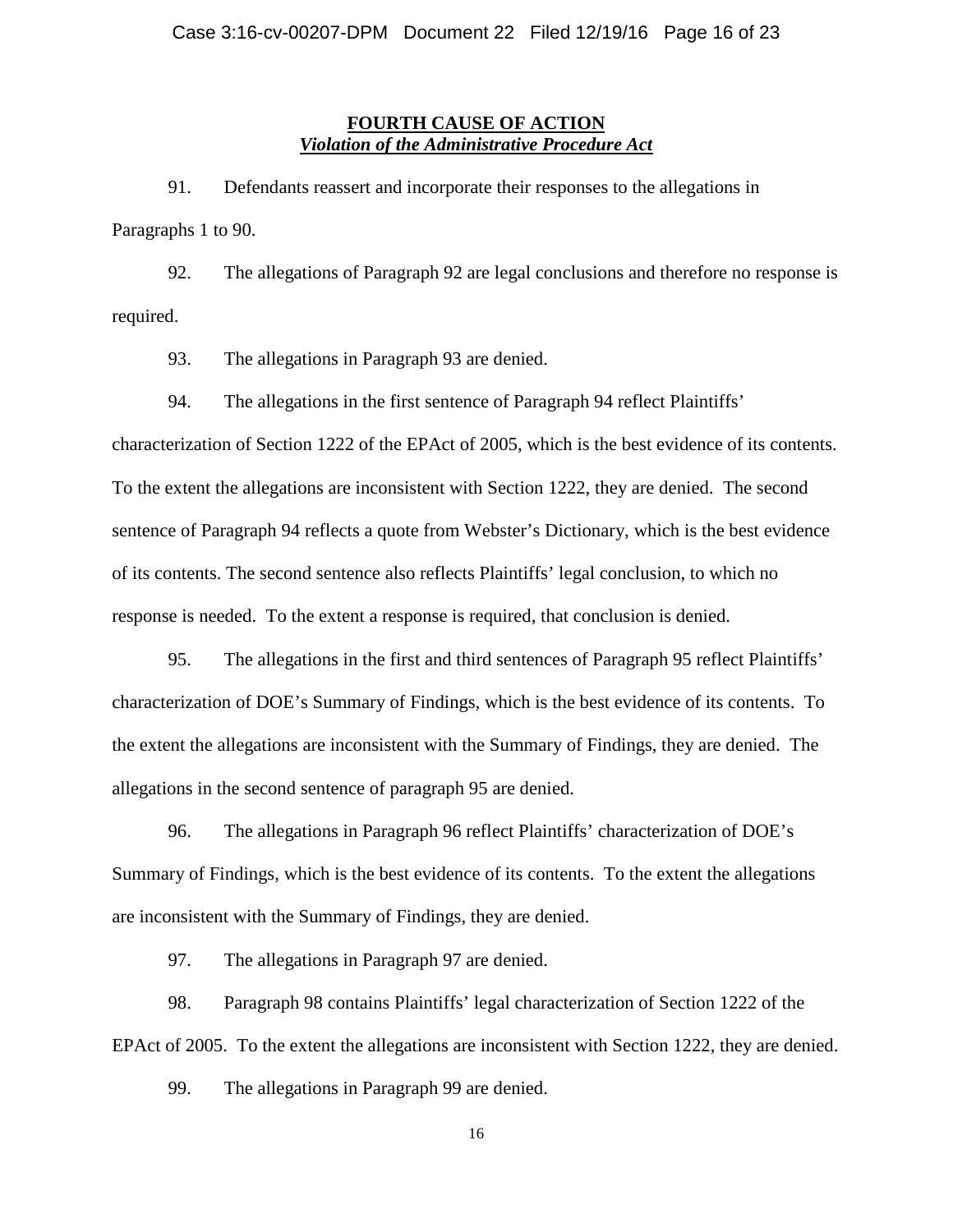## **FOURTH CAUSE OF ACTION** *Violation of the Administrative Procedure Act*

91. Defendants reassert and incorporate their responses to the allegations in Paragraphs 1 to 90.

92. The allegations of Paragraph 92 are legal conclusions and therefore no response is required.

93. The allegations in Paragraph 93 are denied.

94. The allegations in the first sentence of Paragraph 94 reflect Plaintiffs'

characterization of Section 1222 of the EPAct of 2005, which is the best evidence of its contents. To the extent the allegations are inconsistent with Section 1222, they are denied. The second sentence of Paragraph 94 reflects a quote from Webster's Dictionary, which is the best evidence of its contents. The second sentence also reflects Plaintiffs' legal conclusion, to which no response is needed. To the extent a response is required, that conclusion is denied.

95. The allegations in the first and third sentences of Paragraph 95 reflect Plaintiffs' characterization of DOE's Summary of Findings, which is the best evidence of its contents. To the extent the allegations are inconsistent with the Summary of Findings, they are denied. The allegations in the second sentence of paragraph 95 are denied.

96. The allegations in Paragraph 96 reflect Plaintiffs' characterization of DOE's Summary of Findings, which is the best evidence of its contents. To the extent the allegations are inconsistent with the Summary of Findings, they are denied.

97. The allegations in Paragraph 97 are denied.

98. Paragraph 98 contains Plaintiffs' legal characterization of Section 1222 of the EPAct of 2005. To the extent the allegations are inconsistent with Section 1222, they are denied.

99. The allegations in Paragraph 99 are denied.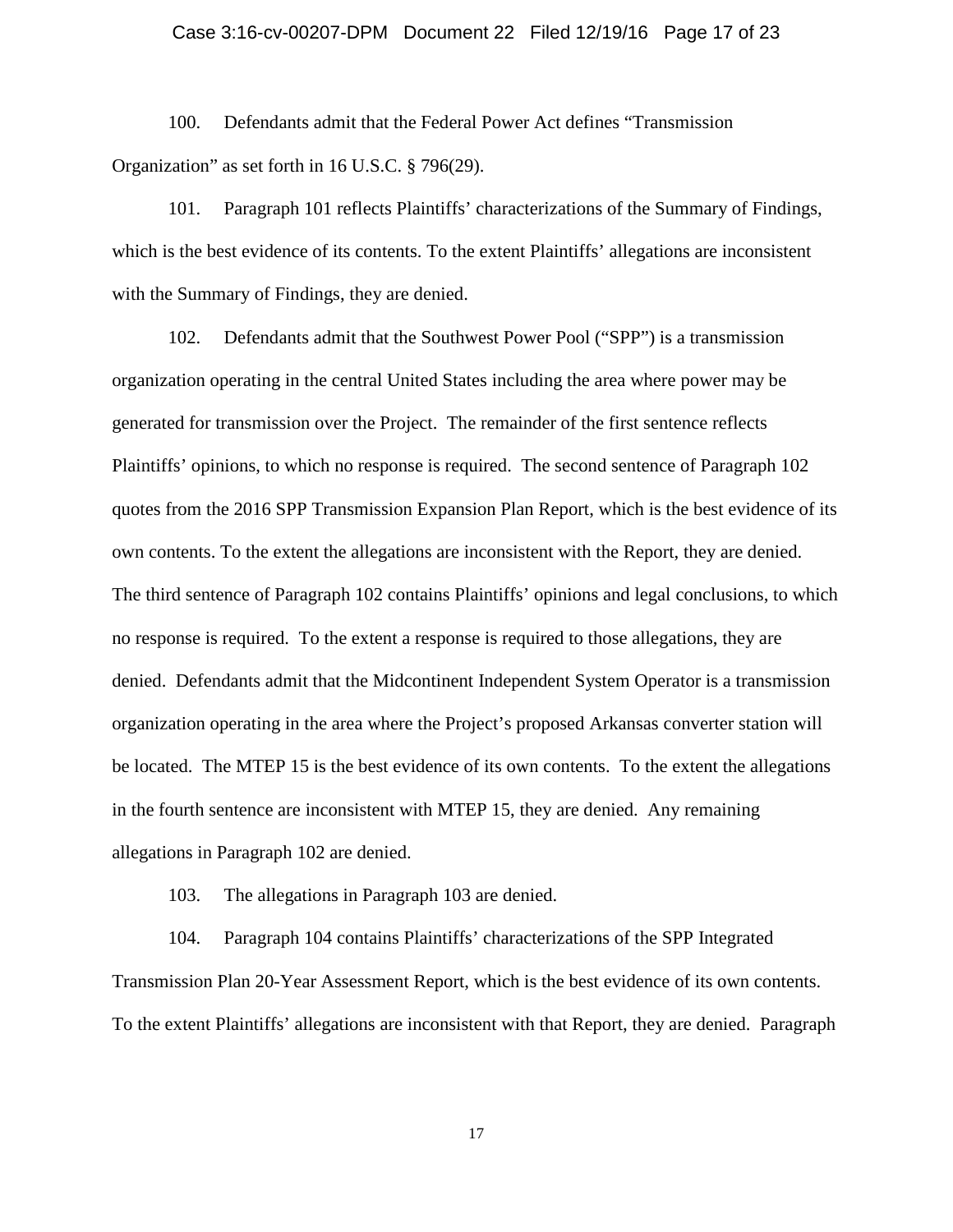### Case 3:16-cv-00207-DPM Document 22 Filed 12/19/16 Page 17 of 23

100. Defendants admit that the Federal Power Act defines "Transmission Organization" as set forth in 16 U.S.C. § 796(29).

101. Paragraph 101 reflects Plaintiffs' characterizations of the Summary of Findings, which is the best evidence of its contents. To the extent Plaintiffs' allegations are inconsistent with the Summary of Findings, they are denied.

102. Defendants admit that the Southwest Power Pool ("SPP") is a transmission organization operating in the central United States including the area where power may be generated for transmission over the Project. The remainder of the first sentence reflects Plaintiffs' opinions, to which no response is required. The second sentence of Paragraph 102 quotes from the 2016 SPP Transmission Expansion Plan Report, which is the best evidence of its own contents. To the extent the allegations are inconsistent with the Report, they are denied. The third sentence of Paragraph 102 contains Plaintiffs' opinions and legal conclusions, to which no response is required. To the extent a response is required to those allegations, they are denied. Defendants admit that the Midcontinent Independent System Operator is a transmission organization operating in the area where the Project's proposed Arkansas converter station will be located. The MTEP 15 is the best evidence of its own contents. To the extent the allegations in the fourth sentence are inconsistent with MTEP 15, they are denied. Any remaining allegations in Paragraph 102 are denied.

103. The allegations in Paragraph 103 are denied.

104. Paragraph 104 contains Plaintiffs' characterizations of the SPP Integrated Transmission Plan 20-Year Assessment Report, which is the best evidence of its own contents. To the extent Plaintiffs' allegations are inconsistent with that Report, they are denied. Paragraph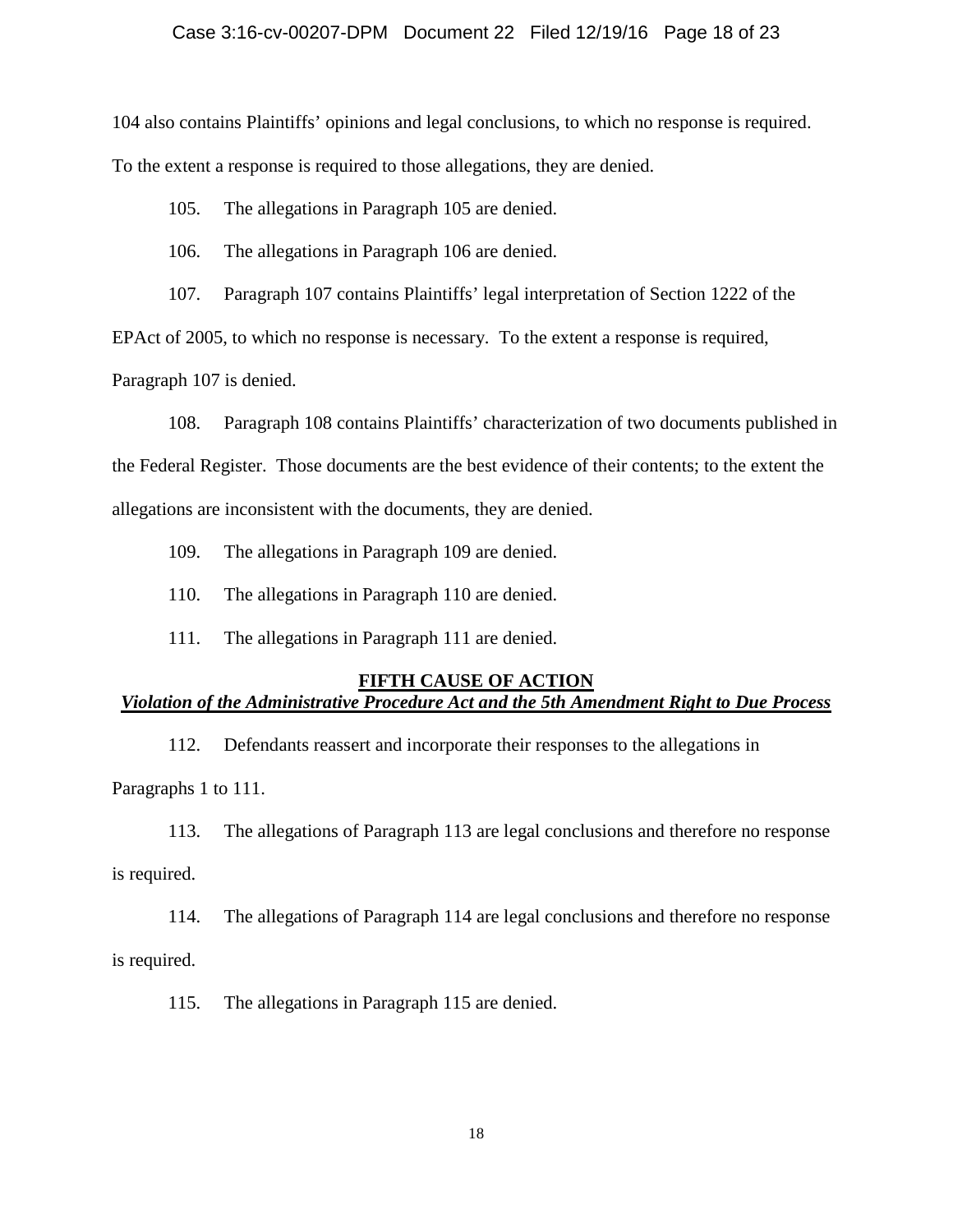### Case 3:16-cv-00207-DPM Document 22 Filed 12/19/16 Page 18 of 23

104 also contains Plaintiffs' opinions and legal conclusions, to which no response is required. To the extent a response is required to those allegations, they are denied.

105. The allegations in Paragraph 105 are denied.

106. The allegations in Paragraph 106 are denied.

107. Paragraph 107 contains Plaintiffs' legal interpretation of Section 1222 of the

EPAct of 2005, to which no response is necessary. To the extent a response is required,

Paragraph 107 is denied.

108. Paragraph 108 contains Plaintiffs' characterization of two documents published in the Federal Register. Those documents are the best evidence of their contents; to the extent the allegations are inconsistent with the documents, they are denied.

109. The allegations in Paragraph 109 are denied.

110. The allegations in Paragraph 110 are denied.

111. The allegations in Paragraph 111 are denied.

### **FIFTH CAUSE OF ACTION**

# *Violation of the Administrative Procedure Act and the 5th Amendment Right to Due Process*

112. Defendants reassert and incorporate their responses to the allegations in

Paragraphs 1 to 111.

113. The allegations of Paragraph 113 are legal conclusions and therefore no response

is required.

114. The allegations of Paragraph 114 are legal conclusions and therefore no response

is required.

115. The allegations in Paragraph 115 are denied.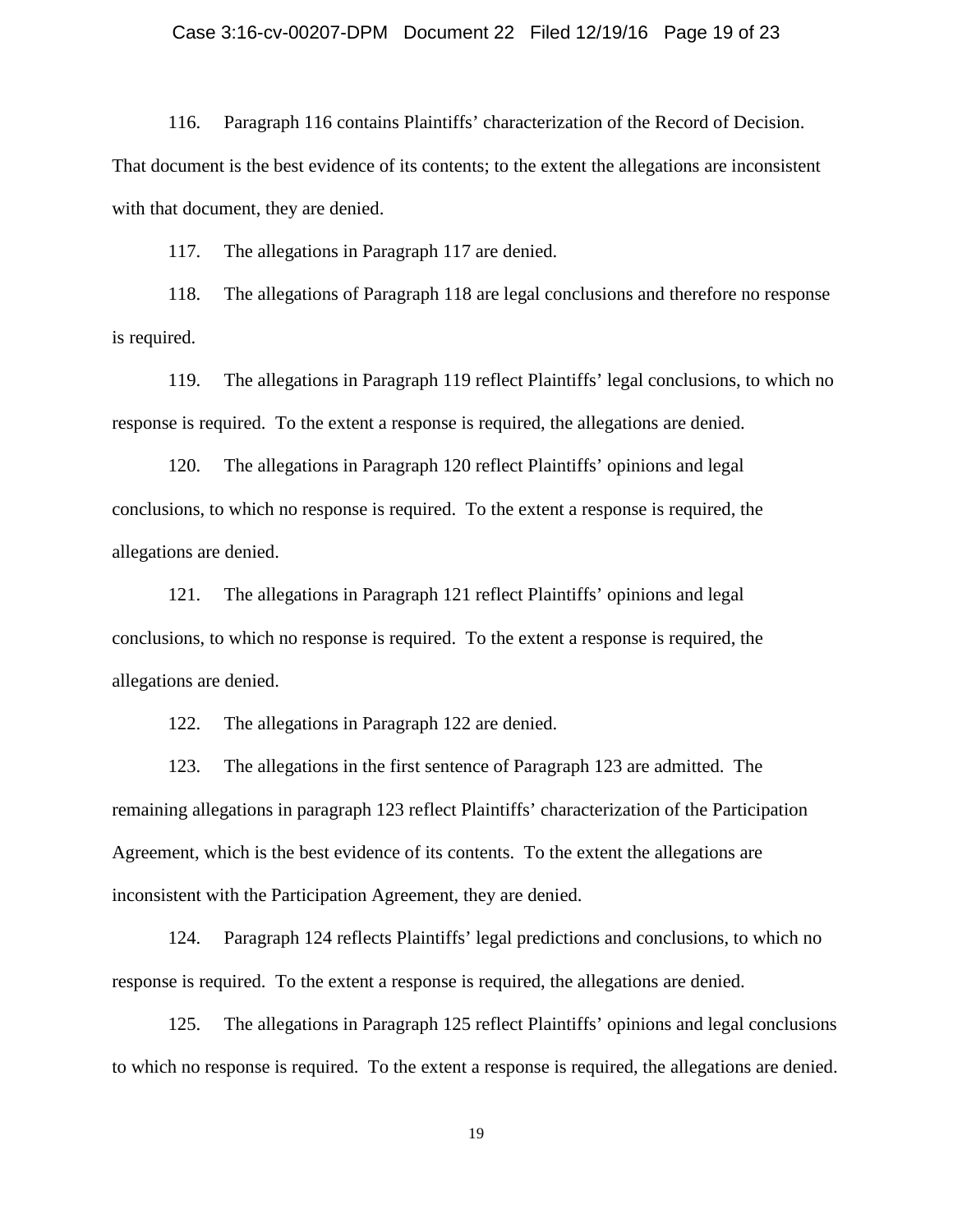### Case 3:16-cv-00207-DPM Document 22 Filed 12/19/16 Page 19 of 23

116. Paragraph 116 contains Plaintiffs' characterization of the Record of Decision.

That document is the best evidence of its contents; to the extent the allegations are inconsistent with that document, they are denied.

117. The allegations in Paragraph 117 are denied.

118. The allegations of Paragraph 118 are legal conclusions and therefore no response is required.

119. The allegations in Paragraph 119 reflect Plaintiffs' legal conclusions, to which no response is required. To the extent a response is required, the allegations are denied.

120. The allegations in Paragraph 120 reflect Plaintiffs' opinions and legal conclusions, to which no response is required. To the extent a response is required, the allegations are denied.

121. The allegations in Paragraph 121 reflect Plaintiffs' opinions and legal conclusions, to which no response is required. To the extent a response is required, the allegations are denied.

122. The allegations in Paragraph 122 are denied.

123. The allegations in the first sentence of Paragraph 123 are admitted. The remaining allegations in paragraph 123 reflect Plaintiffs' characterization of the Participation Agreement, which is the best evidence of its contents. To the extent the allegations are inconsistent with the Participation Agreement, they are denied.

124. Paragraph 124 reflects Plaintiffs' legal predictions and conclusions, to which no response is required. To the extent a response is required, the allegations are denied.

125. The allegations in Paragraph 125 reflect Plaintiffs' opinions and legal conclusions to which no response is required. To the extent a response is required, the allegations are denied.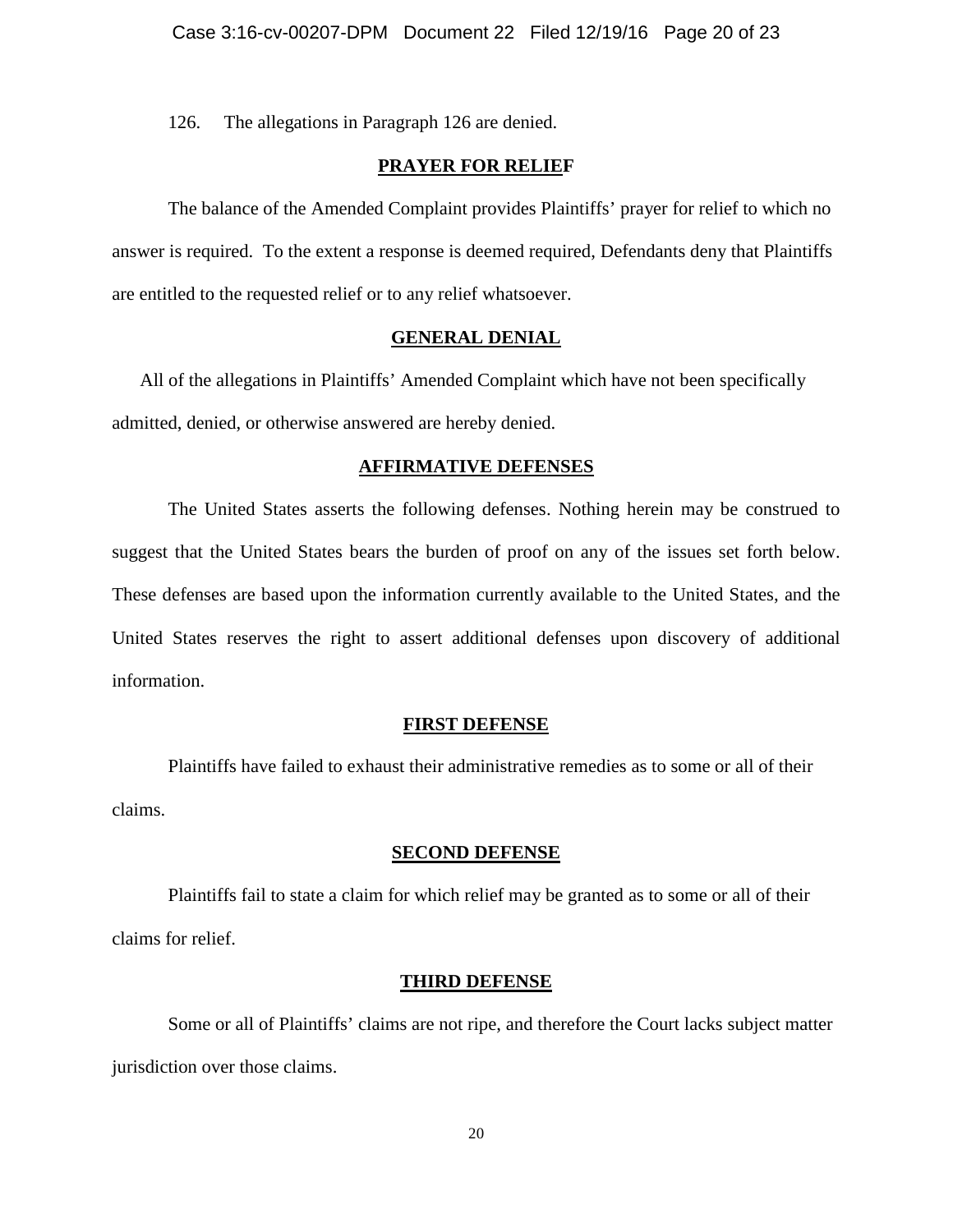126. The allegations in Paragraph 126 are denied.

## **PRAYER FOR RELIEF**

The balance of the Amended Complaint provides Plaintiffs' prayer for relief to which no answer is required. To the extent a response is deemed required, Defendants deny that Plaintiffs are entitled to the requested relief or to any relief whatsoever.

### **GENERAL DENIAL**

All of the allegations in Plaintiffs' Amended Complaint which have not been specifically admitted, denied, or otherwise answered are hereby denied.

#### **AFFIRMATIVE DEFENSES**

The United States asserts the following defenses. Nothing herein may be construed to suggest that the United States bears the burden of proof on any of the issues set forth below. These defenses are based upon the information currently available to the United States, and the United States reserves the right to assert additional defenses upon discovery of additional information.

#### **FIRST DEFENSE**

Plaintiffs have failed to exhaust their administrative remedies as to some or all of their claims.

#### **SECOND DEFENSE**

Plaintiffs fail to state a claim for which relief may be granted as to some or all of their claims for relief.

#### **THIRD DEFENSE**

Some or all of Plaintiffs' claims are not ripe, and therefore the Court lacks subject matter jurisdiction over those claims.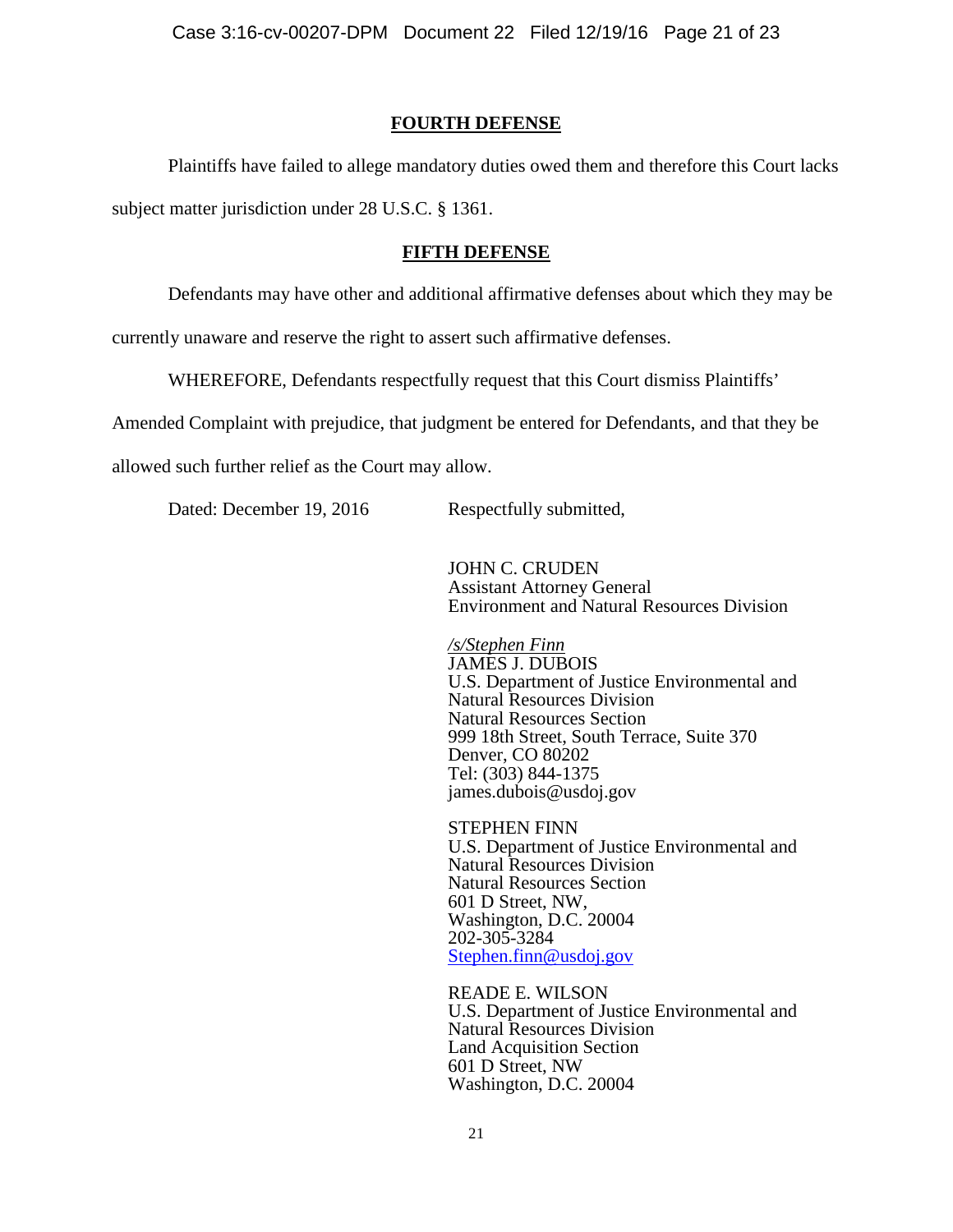### **FOURTH DEFENSE**

Plaintiffs have failed to allege mandatory duties owed them and therefore this Court lacks subject matter jurisdiction under 28 U.S.C. § 1361.

#### **FIFTH DEFENSE**

Defendants may have other and additional affirmative defenses about which they may be

currently unaware and reserve the right to assert such affirmative defenses.

WHEREFORE, Defendants respectfully request that this Court dismiss Plaintiffs'

Amended Complaint with prejudice, that judgment be entered for Defendants, and that they be

allowed such further relief as the Court may allow.

Dated: December 19, 2016 Respectfully submitted,

JOHN C. CRUDEN Assistant Attorney General Environment and Natural Resources Division

*/s/Stephen Finn* JAMES J. DUBOIS U.S. Department of Justice Environmental and Natural Resources Division Natural Resources Section 999 18th Street, South Terrace, Suite 370 Denver, CO 80202 Tel: (303) 844-1375 james.dubois@usdoj.gov

STEPHEN FINN U.S. Department of Justice Environmental and Natural Resources Division Natural Resources Section 601 D Street, NW, Washington, D.C. 20004 202-305-3284 [Stephen.finn@usdoj.gov](mailto:Stephen.finn@usdoj.gov)

READE E. WILSON U.S. Department of Justice Environmental and Natural Resources Division Land Acquisition Section 601 D Street, NW Washington, D.C. 20004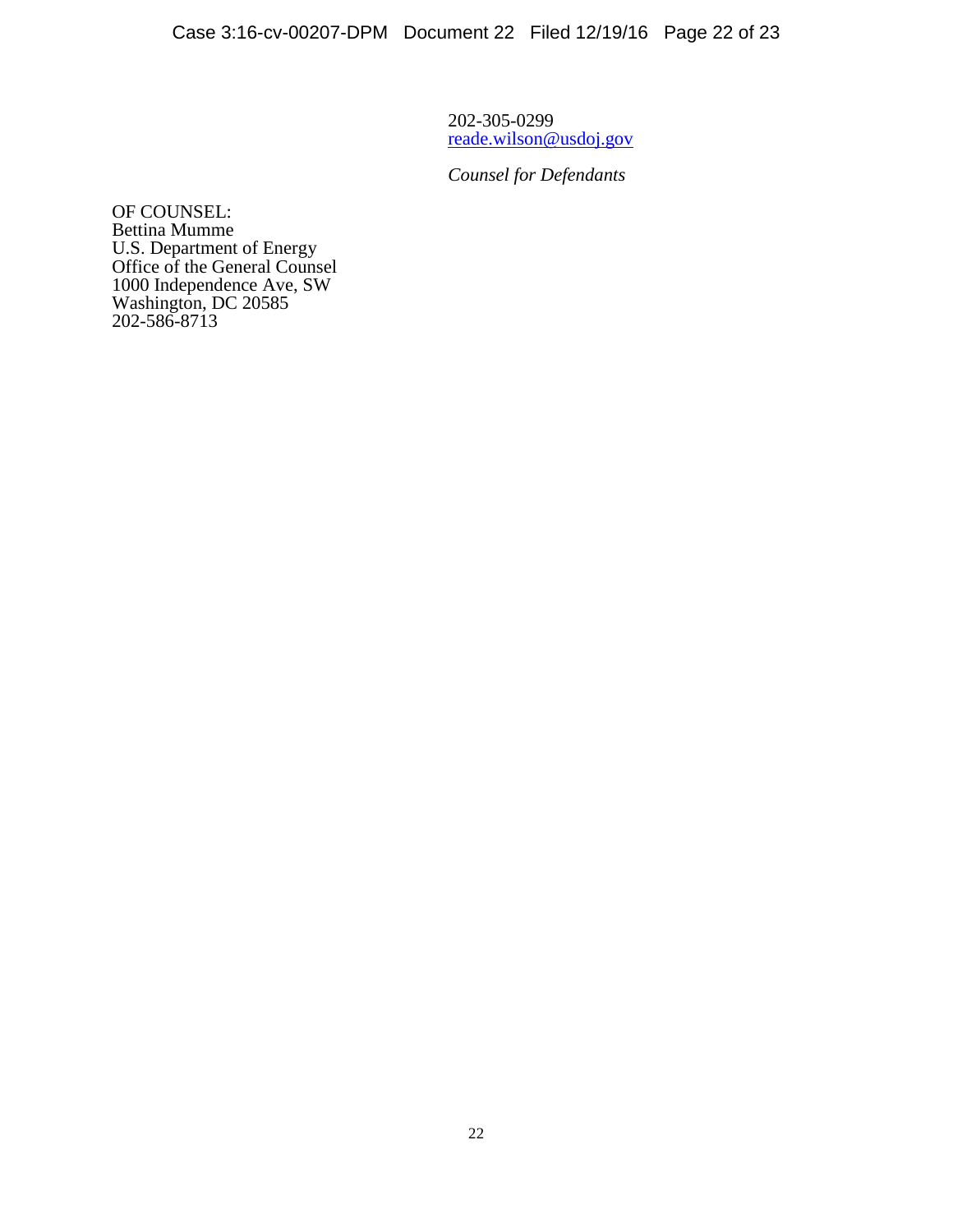202-305-0299 [reade.wilson@usdoj.gov](mailto:reade.wilson@usdoj.gov)

*Counsel for Defendants*

OF COUNSEL: Bettina Mumme U.S. Department of Energy Office of the General Counsel 1000 Independence Ave, SW Washington, DC 20585 202-586-8713